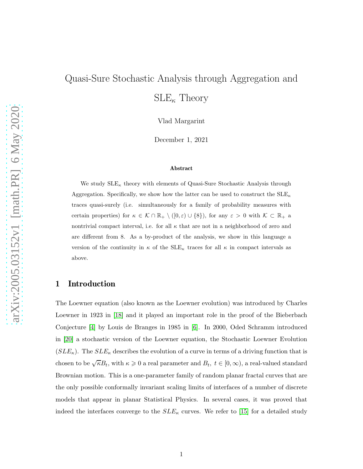# Quasi-Sure Stochastic Analysis through Aggregation and  $\text{SLE}_{\kappa}$  Theory

Vlad Margarint

December 1, 2021

#### Abstract

We study  $\text{SLE}_{\kappa}$  theory with elements of Quasi-Sure Stochastic Analysis through Aggregation. Specifically, we show how the latter can be used to construct the  $SLE_{\kappa}$ traces quasi-surely (i.e. simultaneously for a family of probability measures with certain properties) for  $\kappa \in \mathcal{K} \cap \mathbb{R}_+ \setminus ([0,\varepsilon) \cup \{8\})$ , for any  $\varepsilon > 0$  with  $\mathcal{K} \subset \mathbb{R}_+$  a nontrivial compact interval, i.e. for all  $\kappa$  that are not in a neighborhood of zero and are different from 8. As a by-product of the analysis, we show in this language a version of the continuity in  $\kappa$  of the  $SLE_{\kappa}$  traces for all  $\kappa$  in compact intervals as above.

### 1 Introduction

The Loewner equation (also known as the Loewner evolution) was introduced by Charles Loewner in 1923 in [\[18\]](#page-28-0) and it played an important role in the proof of the Bieberbach Conjecture [\[4\]](#page-27-0) by Louis de Branges in 1985 in [\[6\]](#page-27-1). In 2000, Oded Schramm introduced in [\[20\]](#page-28-1) a stochastic version of the Loewner equation, the Stochastic Loewner Evolution  $(SLE_{\kappa})$ . The  $SLE_{\kappa}$  describes the evolution of a curve in terms of a driving function that is chosen to be  $\sqrt{\kappa}B_t$ , with  $\kappa \geq 0$  a real parameter and  $B_t$ ,  $t \in [0, \infty)$ , a real-valued standard Brownian motion. This is a one-parameter family of random planar fractal curves that are the only possible conformally invariant scaling limits of interfaces of a number of discrete models that appear in planar Statistical Physics. In several cases, it was proved that indeed the interfaces converge to the  $SLE_{\kappa}$  curves. We refer to [\[15\]](#page-28-2) for a detailed study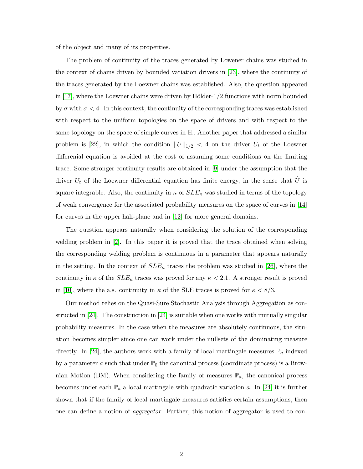of the object and many of its properties.

The problem of continuity of the traces generated by Lowener chains was studied in the context of chains driven by bounded variation drivers in [\[23\]](#page-28-3), where the continuity of the traces generated by the Loewner chains was established. Also, the question appeared in  $[17]$ , where the Loewner chains were driven by Hölder-1/2 functions with norm bounded by  $\sigma$  with  $\sigma < 4$ . In this context, the continuity of the corresponding traces was established with respect to the uniform topologies on the space of drivers and with respect to the same topology on the space of simple curves in  $\mathbb H$ . Another paper that addressed a similar problem is [\[22\]](#page-28-5), in which the condition  $||U||_{1/2} < 4$  on the driver  $U_t$  of the Loewner differenial equation is avoided at the cost of assuming some conditions on the limiting trace. Some stronger continuity results are obtained in [\[9\]](#page-27-2) under the assumption that the driver  $U_t$  of the Loewner differential equation has finite energy, in the sense that  $\dot{U}$  is square integrable. Also, the continuity in  $\kappa$  of  $SLE_{\kappa}$  was studied in terms of the topology of weak convergence for the associated probability measures on the space of curves in [\[14\]](#page-28-6) for curves in the upper half-plane and in [\[12\]](#page-28-7) for more general domains.

The question appears naturally when considering the solution of the corresponding welding problem in [\[2\]](#page-27-3). In this paper it is proved that the trace obtained when solving the corresponding welding problem is continuous in a parameter that appears naturally in the setting. In the context of  $SLE_{\kappa}$  traces the problem was studied in [\[26\]](#page-29-0), where the continuity in  $\kappa$  of the  $SLE_{\kappa}$  traces was proved for any  $\kappa < 2.1$ . A stronger result is proved in [\[10\]](#page-27-4), where the a.s. continuity in  $\kappa$  of the SLE traces is proved for  $\kappa < 8/3$ .

Our method relies on the Quasi-Sure Stochastic Analysis through Aggregation as constructed in [\[24\]](#page-29-1). The construction in [\[24\]](#page-29-1) is suitable when one works with mutually singular probability measures. In the case when the measures are absolutely continuous, the situation becomes simpler since one can work under the nullsets of the dominating measure directly. In [\[24\]](#page-29-1), the authors work with a family of local martingale measures  $\mathbb{P}_a$  indexed by a parameter a such that under  $\mathbb{P}_0$  the canonical process (coordinate process) is a Brownian Motion (BM). When considering the family of measures  $\mathbb{P}_a$ , the canonical process becomes under each  $\mathbb{P}_a$  a local martingale with quadratic variation a. In [\[24\]](#page-29-1) it is further shown that if the family of local martingale measures satisfies certain assumptions, then one can define a notion of aggregator. Further, this notion of aggregator is used to con-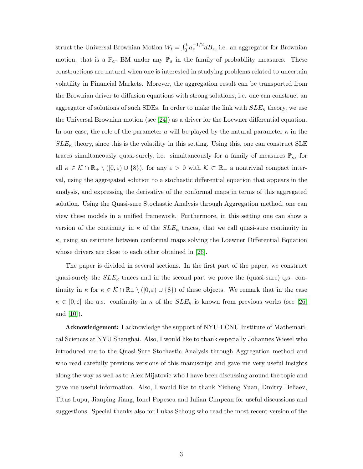struct the Universal Brownian Motion  $W_t = \int_0^t a_s^{-1/2} dB_s$ , i.e. an aggregator for Brownian motion, that is a  $\mathbb{P}_a$ - BM under any  $\mathbb{P}_a$  in the family of probability measures. These constructions are natural when one is interested in studying problems related to uncertain volatility in Financial Markets. Morever, the aggregation result can be transported from the Brownian driver to diffusion equations with strong solutions, i.e. one can construct an aggregator of solutions of such SDEs. In order to make the link with  $SLE_{\kappa}$  theory, we use the Universal Brownian motion (see [\[24\]](#page-29-1)) as a driver for the Loewner differential equation. In our case, the role of the parameter a will be played by the natural parameter  $\kappa$  in the  $SLE_{\kappa}$  theory, since this is the volatility in this setting. Using this, one can construct SLE traces simultaneously quasi-surely, i.e. simultaneously for a family of measures  $\mathbb{P}_{\kappa}$ , for all  $\kappa \in \mathcal{K} \cap \mathbb{R}_+ \setminus ([0,\varepsilon) \cup \{8\})$ , for any  $\varepsilon > 0$  with  $\mathcal{K} \subset \mathbb{R}_+$  a nontrivial compact interval, using the aggregated solution to a stochastic differential equation that appears in the analysis, and expressing the derivative of the conformal maps in terms of this aggregated solution. Using the Quasi-sure Stochastic Analysis through Aggregation method, one can view these models in a unified framework. Furthermore, in this setting one can show a version of the continuity in  $\kappa$  of the  $SLE_{\kappa}$  traces, that we call quasi-sure continuity in  $\kappa$ , using an estimate between conformal maps solving the Loewner Differential Equation whose drivers are close to each other obtained in [\[26\]](#page-29-0).

The paper is divided in several sections. In the first part of the paper, we construct quasi-surely the  $SLE_{\kappa}$  traces and in the second part we prove the (quasi-sure) q.s. continuity in  $\kappa$  for  $\kappa \in \mathcal{K} \cap \mathbb{R}_+ \setminus ([0,\varepsilon) \cup \{8\})$  of these objects. We remark that in the case  $\kappa \in [0, \varepsilon]$  the a.s. continuity in  $\kappa$  of the  $SLE_{\kappa}$  is known from previous works (see [\[26\]](#page-29-0) and [\[10\]](#page-27-4)).

Acknowledgement: I acknowledge the support of NYU-ECNU Institute of Mathematical Sciences at NYU Shanghai. Also, I would like to thank especially Johannes Wiesel who introduced me to the Quasi-Sure Stochastic Analysis through Aggregation method and who read carefully previous versions of this manuscript and gave me very useful insights along the way as well as to Alex Mijatovic who I have been discussing around the topic and gave me useful information. Also, I would like to thank Yizheng Yuan, Dmitry Beliaev, Titus Lupu, Jianping Jiang, Ionel Popescu and Iulian Cimpean for useful discussions and suggestions. Special thanks also for Lukas Schoug who read the most recent version of the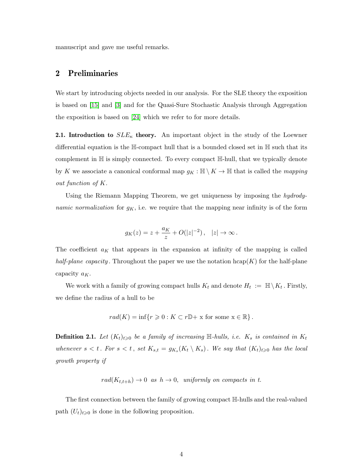manuscript and gave me useful remarks.

### 2 Preliminaries

We start by introducing objects needed in our analysis. For the SLE theory the exposition is based on [\[15\]](#page-28-2) and [\[3\]](#page-27-5) and for the Quasi-Sure Stochastic Analysis through Aggregation the exposition is based on [\[24\]](#page-29-1) which we refer to for more details.

**2.1. Introduction to**  $SLE_{\kappa}$  theory. An important object in the study of the Loewner differential equation is the H-compact hull that is a bounded closed set in H such that its complement in H is simply connected. To every compact H-hull, that we typically denote by K we associate a canonical conformal map  $g_K : \mathbb{H} \setminus K \to \mathbb{H}$  that is called the *mapping* out function of K.

Using the Riemann Mapping Theorem, we get uniqueness by imposing the hydrodynamic normalization for  $g_K$ , i.e. we require that the mapping near infinity is of the form

$$
g_K(z) = z + \frac{a_K}{z} + O(|z|^{-2}), \quad |z| \to \infty.
$$

The coefficient  $a_K$  that appears in the expansion at infinity of the mapping is called half-plane capacity. Throughout the paper we use the notation  $hcap(K)$  for the half-plane capacity  $a<sub>K</sub>$ .

We work with a family of growing compact hulls  $K_t$  and denote  $H_t := \mathbb{H} \setminus K_t$ . Firstly, we define the radius of a hull to be

$$
rad(K) = \inf \{ r \geq 0 : K \subset r\mathbb{D} + x \text{ for some } x \in \mathbb{R} \}.
$$

**Definition 2.1.** Let  $(K_t)_{t\geqslant0}$  be a family of increasing  $\mathbb{H}\text{-}hulls$ , i.e.  $K_s$  is contained in  $K_t$ whenever  $s < t$ . For  $s < t$ , set  $K_{s,t} = g_{K_s}(K_t \setminus K_s)$ . We say that  $(K_t)_{t \geqslant 0}$  has the local growth property if

 $rad(K_{t,t+h}) \rightarrow 0$  as  $h \rightarrow 0$ , uniformly on compacts in t.

The first connection between the family of growing compact H-hulls and the real-valued path  $(U_t)_{t\geqslant0}$  is done in the following proposition.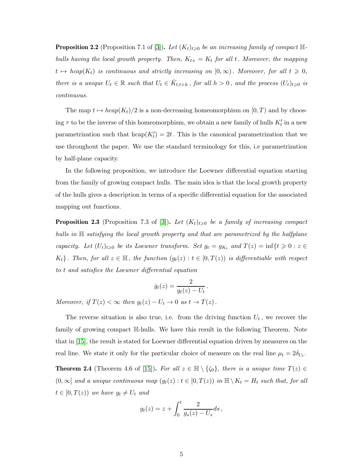**Proposition 2.2** (Proposition 7.1 of [\[3\]](#page-27-5)). Let  $(K_t)_{t\geq0}$  be an increasing family of compact Hhulls having the local growth property. Then,  $K_{t+} = K_t$  for all t. Moreover, the mapping  $t \mapsto \text{hcap}(K_t)$  is continuous and strictly increasing on  $[0,\infty)$ . Moreover, for all  $t \geq 0$ , there is a unique  $U_t \in \mathbb{R}$  such that  $U_t \in \overline{K}_{t,t+h}$ , for all  $h > 0$ , and the process  $(U_t)_{t \geq 0}$  is continuous.

The map  $t \mapsto hcap(K_t)/2$  is a non-decreasing homeomorphism on  $[0, T)$  and by choosing  $\tau$  to be the inverse of this homeomorphism, we obtain a new family of hulls  $K_t'$  in a new parametrization such that  $\text{hcap}(K_t') = 2t$ . This is the canonical parametrization that we use throughout the paper. We use the standard terminology for this, i.e parametrization by half-plane capacity.

In the following proposition, we introduce the Loewner differential equation starting from the family of growing compact hulls. The main idea is that the local growth property of the hulls gives a description in terms of a specific differential equation for the associated mapping out functions.

**Proposition 2.3** (Proposition 7.3 of [\[3\]](#page-27-5)). Let  $(K_t)_{t\geq0}$  be a family of increasing compact hulls in  $\mathbb H$  satisfying the local growth property and that are parametrized by the halfplane capacity. Let  $(U_t)_{t\geqslant0}$  be its Loewner transform. Set  $g_t = g_{K_t}$  and  $T(z) = \inf\{t \geqslant 0 : z \in$  $K_t$ . Then, for all  $z \in \mathbb{H}$ , the function  $(g_t(z) : t \in [0,T(z))$  is differentiable with respect to t and satisfies the Loewner differential equation

$$
\dot{g}_t(z) = \frac{2}{g_t(z) - U_t}
$$

.

Moreover, if  $T(z) < \infty$  then  $g_t(z) - U_t \to 0$  as  $t \to T(z)$ .

The reverse situation is also true, i.e. from the driving function  $U_t$ , we recover the family of growing compact H-hulls. We have this result in the following Theorem. Note that in [\[15\]](#page-28-2), the result is stated for Loewner differential equation driven by measures on the real line. We state it only for the particular choice of measure on the real line  $\mu_t = 2\delta_{U_t}$ .

**Theorem 2.4** (Theorem 4.6 of [\[15\]](#page-28-2)). For all  $z \in \mathbb{H} \setminus \{\zeta_0\}$ , there is a unique time  $T(z) \in$  $(0, \infty]$  and a unique continuous map  $(g_t(z) : t \in [0, T(z))$  in  $\mathbb{H} \setminus K_t = H_t$  such that, for all  $t \in [0, T(z))$  we have  $g_t \neq U_t$  and

$$
g_t(z) = z + \int_0^t \frac{2}{g_s(z) - U_s} ds,
$$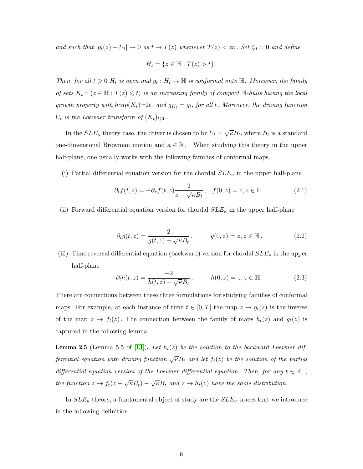and such that  $|g_t(z) - U_t| \to 0$  as  $t \to T(z)$  whenever  $T(z) < \infty$ . Set  $\zeta_0 = 0$  and define

$$
H_t = \{ z \in \mathbb{H} : T(z) > t \}.
$$

Then, for all  $t \geq 0$   $H_t$  is open and  $g_t : H_t \to \mathbb{H}$  is conformal onto  $\mathbb{H}$ . Moreover, the family of sets  $K_t = (z \in \mathbb{H} : T(z) \leq t)$  is an increasing family of compact  $\mathbb{H}$ -hulls having the local growth property with  $hcap(K_t)=2t$ , and  $g_{K_t} = g_t$ , for all t. Moreover, the driving function  $U_t$  is the Loewner transform of  $(K_t)_{t\geqslant0}$ .

In the  $SLE_{\kappa}$  theory case, the driver is chosen to be  $U_t = \sqrt{\kappa}B_t$ , where  $B_t$  is a standard one-dimensional Brownian motion and  $\kappa \in \mathbb{R}_+$ . When studying this theory in the upper half-plane, one usually works with the following families of conformal maps.

(i) Partial differential equation version for the chordal  $SLE_{\kappa}$  in the upper half-plane

<span id="page-5-0"></span>
$$
\partial_t f(t, z) = -\partial_z f(t, z) \frac{2}{z - \sqrt{\kappa} B_t}, \quad f(0, z) = z, z \in \mathbb{H}.
$$
 (2.1)

(ii) Forward differential equation version for chordal  $SLE_{\kappa}$  in the upper half-plane

$$
\partial_t g(t, z) = \frac{2}{g(t, z) - \sqrt{\kappa} B_t}, \qquad g(0, z) = z, z \in \mathbb{H}.
$$
 (2.2)

(iii) Time reversal differential equation (backward) version for chordal  $SLE_{\kappa}$  in the upper half-plane

$$
\partial_t h(t, z) = \frac{-2}{h(t, z) - \sqrt{\kappa} B_t}, \qquad h(0, z) = z, z \in \mathbb{H}.
$$
 (2.3)

There are connections between these three formulations for studying families of conformal maps. For example, at each instance of time  $t \in [0, T]$  the map  $z \to g_t(z)$  is the inverse of the map  $z \to f_t(z)$ . The connection between the family of maps  $h_t(z)$  and  $g_t(z)$  is captured in the following lemma.

**Lemma 2.5** (Lemma 5.5 of [\[13\]](#page-28-8)). Let  $h_t(z)$  be the solution to the backward Loewner differential equation with driving function  $\sqrt{\kappa}B_t$  and let  $f_t(z)$  be the solution of the partial differential equation version of the Loewner differential equation. Then, for any  $t \in \mathbb{R}_+$ , the function  $z \to f_t(z + \sqrt{\kappa}B_t) - \sqrt{\kappa}B_t$  and  $z \to h_t(z)$  have the same distribution.

In  $SLE_{\kappa}$  theory, a fundamental object of study are the  $SLE_{\kappa}$  traces that we introduce in the following definition.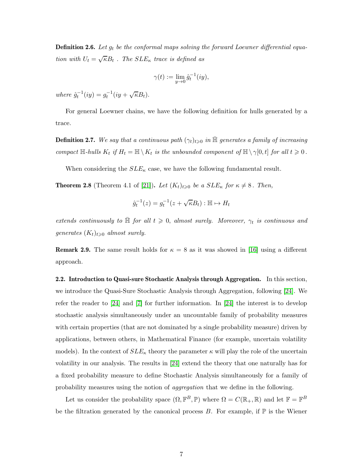**Definition 2.6.** Let  $g_t$  be the conformal maps solving the forward Loewner differential equation with  $U_t = \sqrt{\kappa} B_t$ . The  $SLE_{\kappa}$  trace is defined as

$$
\gamma(t) := \lim_{y \to 0} \hat{g}_t^{-1}(iy),
$$

where  $\hat{g}_t^{-1}(iy) = g_t^{-1}(iy + \sqrt{\kappa}B_t)$ .

For general Loewner chains, we have the following definition for hulls generated by a trace.

**Definition 2.7.** We say that a continuous path  $(\gamma_t)_{t\geqslant0}$  in  $\bar{\mathbb{H}}$  generates a family of increasing compact  $\mathbb{H}\text{-}hulls K_t$  if  $H_t = \mathbb{H} \setminus K_t$  is the unbounded component of  $\mathbb{H} \setminus \gamma[0, t]$  for all  $t \geq 0$ .

When considering the  $SLE_{\kappa}$  case, we have the following fundamental result.

<span id="page-6-0"></span>**Theorem 2.8** (Theorem 4.1 of [\[21\]](#page-28-9)). Let  $(K_t)_{t\geqslant0}$  be a  $SLE_{\kappa}$  for  $\kappa \neq 8$ . Then,

$$
\hat{g}_t^{-1}(z) = g_t^{-1}(z + \sqrt{\kappa}B_t) : \mathbb{H} \mapsto H_t
$$

extends continuously to  $\overline{\mathbb{H}}$  for all  $t \geq 0$ , almost surely. Moreover,  $\gamma_t$  is continuous and generates  $(K_t)_{t\geqslant 0}$  almost surely.

**Remark 2.9.** The same result holds for  $\kappa = 8$  as it was showed in [\[16\]](#page-28-10) using a different approach.

2.2. Introduction to Quasi-sure Stochastic Analysis through Aggregation. In this section, we introduce the Quasi-Sure Stochastic Analysis through Aggregation, following [\[24\]](#page-29-1). We refer the reader to [\[24\]](#page-29-1) and [\[7\]](#page-27-6) for further information. In [\[24\]](#page-29-1) the interest is to develop stochastic analysis simultaneously under an uncountable family of probability measures with certain properties (that are not dominated by a single probability measure) driven by applications, between others, in Mathematical Finance (for example, uncertain volatility models). In the context of  $SLE_{\kappa}$  theory the parameter  $\kappa$  will play the role of the uncertain volatility in our analysis. The results in [\[24\]](#page-29-1) extend the theory that one naturally has for a fixed probability measure to define Stochastic Analysis simultaneously for a family of probability measures using the notion of aggregation that we define in the following.

Let us consider the probability space  $(\Omega, \mathbb{F}^B, \mathbb{P})$  where  $\Omega = C(\mathbb{R}_+, \mathbb{R})$  and let  $\mathbb{F} = \mathbb{F}^B$ be the filtration generated by the canonical process  $B$ . For example, if  $\mathbb P$  is the Wiener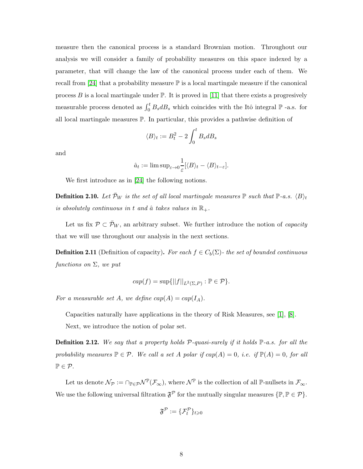measure then the canonical process is a standard Brownian motion. Throughout our analysis we will consider a family of probability measures on this space indexed by a parameter, that will change the law of the canonical process under each of them. We recall from [\[24\]](#page-29-1) that a probability measure  $\mathbb P$  is a local martingale measure if the canonical process B is a local martingale under  $\mathbb{P}$ . It is proved in [\[11\]](#page-27-7) that there exists a progresively measurable process denoted as  $\int_0^t B_s dB_s$  which coincides with the Itô integral  $\mathbb P$  -a.s. for all local martingale measures P. In particular, this provides a pathwise definition of

$$
\langle B \rangle_t := B_t^2 - 2 \int_0^t B_s dB_s
$$

and

$$
\hat{a}_t := \limsup_{\varepsilon \to 0} \frac{1}{\varepsilon} [\langle B \rangle_t - \langle B \rangle_{t-\varepsilon}].
$$

We first introduce as in [\[24\]](#page-29-1) the following notions.

**Definition 2.10.** Let  $\bar{\mathcal{P}}_W$  is the set of all local martingale measures  $\mathbb{P}$  such that  $\mathbb{P}\text{-}a.s.$   $\langle B \rangle_t$ is absolutely continuous in t and  $\hat{a}$  takes values in  $\mathbb{R}_+$ .

Let us fix  $\mathcal{P} \subset \bar{\mathcal{P}}_W$ , an arbitrary subset. We further introduce the notion of *capacity* that we will use throughout our analysis in the next sections.

**Definition 2.11** (Definition of capacity). For each  $f \in C_b(\Sigma)$ - the set of bounded continuous functions on  $\Sigma$ , we put

$$
cap(f) = \sup\{||f||_{L^2(\Sigma, P)} : \mathbb{P} \in \mathcal{P}\}.
$$

For a measurable set A, we define  $cap(A) = cap(I_A)$ .

Capacities naturally have applications in the theory of Risk Measures, see [\[1\]](#page-27-8), [\[8\]](#page-27-9).

Next, we introduce the notion of polar set.

**Definition 2.12.** We say that a property holds  $P$ -quasi-surely if it holds  $\mathbb{P}$ -a.s. for all the probability measures  $\mathbb{P} \in \mathcal{P}$ . We call a set A polar if  $cap(A) = 0$ , i.e. if  $\mathbb{P}(A) = 0$ , for all  $\mathbb{P} \in \mathcal{P}$ .

Let us denote  $\mathcal{N}_{\mathcal{P}} := \cap_{\mathbb{P}\in\mathcal{P}}\mathcal{N}^{\mathbb{P}}(\mathcal{F}_{\infty})$ , where  $\mathcal{N}^{\mathbb{P}}$  is the collection of all  $\mathbb{P}\text{-nullsets}$  in  $\mathcal{F}_{\infty}$ . We use the following universal filtration  $\mathfrak{F}^{\mathcal{P}}$  for the mutually singular measures  $\{\mathbb{P}, \mathbb{P} \in \mathcal{P}\}.$ 

$$
\mathfrak{F}^{\mathcal{P}}:=\{\mathcal{F}^{\mathcal{P}}_t\}_{t\geqslant 0}
$$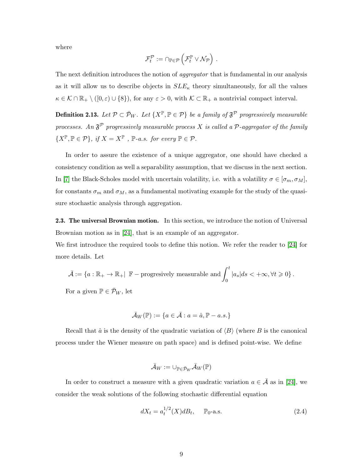where

$$
\mathcal{F}_t^{\mathcal{P}}:=\cap_{\mathbb{P}\in\mathcal{P}}\left(\mathcal{F}_t^{\mathbb{P}}\vee\mathcal{N}_{\mathcal{P}}\right)\,.
$$

The next definition introduces the notion of *aggregator* that is fundamental in our analysis as it will allow us to describe objects in  $SLE_{\kappa}$  theory simultaneously, for all the values  $\kappa \in \mathcal{K} \cap \mathbb{R}_+ \setminus ([0,\varepsilon) \cup \{8\}),$  for any  $\varepsilon > 0$ , with  $\mathcal{K} \subset \mathbb{R}_+$  a nontrivial compact interval.

<span id="page-8-1"></span>**Definition 2.13.** Let  $\mathcal{P} \subset \bar{\mathcal{P}}_W$ . Let  $\{X^{\mathbb{P}}, \mathbb{P} \in \mathcal{P}\}$  be a family of  $\mathfrak{F}^{\mathcal{P}}$  progressively measurable processes. An  $\mathfrak{F}^{\mathcal{P}}$  progressively measurable process X is called a  $\mathcal{P}$ -aggregator of the family  $\{X^{\mathbb{P}}, \mathbb{P} \in \mathcal{P}\}, \text{ if } X = X^{\mathbb{P}} , \mathbb{P}\text{-}a.s. \text{ for every } \mathbb{P} \in \mathcal{P}.$ 

In order to assure the existence of a unique aggregator, one should have checked a consistency condition as well a separability assumption, that we discuss in the next section. In [\[7\]](#page-27-6) the Black-Scholes model with uncertain volatility, i.e. with a volatility  $\sigma \in [\sigma_m, \sigma_M]$ , for constants  $\sigma_m$  and  $\sigma_M$ , as a fundamental motivating example for the study of the quasisure stochastic analysis through aggregation.

2.3. The universal Brownian motion. In this section, we introduce the notion of Universal Brownian motion as in [\[24\]](#page-29-1), that is an example of an aggregator.

We first introduce the required tools to define this notion. We refer the reader to [\[24\]](#page-29-1) for more details. Let

$$
\bar{\mathcal{A}} := \{a : \mathbb{R}_+ \to \mathbb{R}_+ | \mathbb{F} - \text{progressively measurable and} \int_0^t |a_s| ds < +\infty, \forall t \geq 0\}.
$$
  
For a given  $\mathbb{P} \in \bar{\mathcal{P}}_W$ , let

$$
\bar{\mathcal{A}}_W(\mathbb{P}):=\{a\in\bar{\mathcal{A}}:a=\hat{a},\mathbb{P}-a.s.\}
$$

Recall that  $\hat{a}$  is the density of the quadratic variation of  $\langle B \rangle$  (where B is the canonical process under the Wiener measure on path space) and is defined point-wise. We define

$$
\bar{\mathcal{A}}_W:=\cup_{\mathbb{P}\in\bar{\mathcal{P}}_W}\bar{\mathcal{A}}_W(\mathbb{P})
$$

In order to construct a measure with a given quadratic variation  $a \in \bar{\mathcal{A}}$  as in [\[24\]](#page-29-1), we consider the weak solutions of the following stochastic differential equation

<span id="page-8-0"></span>
$$
dX_t = a_t^{1/2}(X)dB_t, \quad \mathbb{P}_0\text{-a.s.}
$$
 (2.4)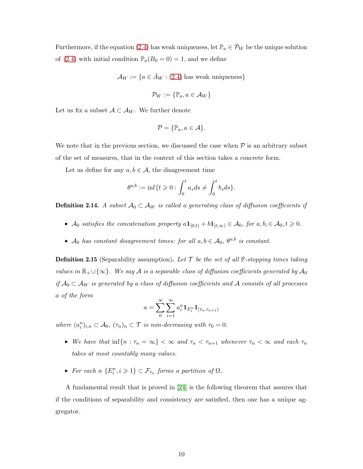Furthermore, if the equation [\(2.4\)](#page-8-0) has weak uniqueness, let  $\mathbb{P}_a \in \overline{\mathcal{P}}_W$  be the unique solution of [\(2.4\)](#page-8-0) with initial condition  $\mathbb{P}_a(B_0 = 0) = 1$ , and we define

 $\mathcal{A}_W := \{a \in \bar{A}_W : (2.4)$  $\mathcal{A}_W := \{a \in \bar{A}_W : (2.4)$  has weak uniqueness}

$$
\mathcal{P}_W:=\{\mathbb{P}_a, a\in\mathcal{A}_W\}
$$

Let us fix a subset  $A \subset A_W$ . We further denote

$$
\mathcal{P} = \{\mathbb{P}_a, a \in \mathcal{A}\}.
$$

We note that in the previous section, we discussed the case when  $P$  is an arbitrary subset of the set of measures, that in the context of this section takes a concrete form.

Let us define for any  $a, b \in \mathcal{A}$ , the disagreement time

$$
\theta^{a,b} := \inf\{t \geq 0 : \int_0^t a_s ds \neq \int_0^t b_s ds\}.
$$

**Definition 2.14.** A subset  $A_0 \subset A_W$  is called a generating class of diffusion coefficients if

- ►  $\mathcal{A}_0$  satisfies the concatenation property  $a\mathbf{1}_{[0,t)} + b\mathbf{1}_{[t,\infty)} \in \mathcal{A}_0$ , for  $a, b \in \mathcal{A}_0, t \geq 0$ .
- A<sub>0</sub> has constant disagreement times: for all  $a, b \in A_0$ ,  $\theta^{a,b}$  is constant.

**Definition 2.15** (Separability assumption). Let  $\mathcal{T}$  be the set of all  $\mathbb{F}$ -stopping times taking values in  $\mathbb{R}_+ \cup \{\infty\}$ . We say A is a separable class of diffusion coefficients generated by  $\mathcal{A}_0$ if  $A_0 \subset A_W$  is generated by a class of diffusion coefficients and A consists of all processes a of the form

$$
a = \sum_{0}^{\infty} \sum_{i=1}^{\infty} a_i^n \mathbf{1}_{E_i^n} \mathbf{1}_{[\tau_n, \tau_{n+1})}
$$

where  $(a_i^n)_{i,n} \subset \mathcal{A}_0$ ,  $(\tau_n)_n \subset \mathcal{T}$  is non-decreasing with  $\tau_0 = 0$ .

- $\triangleright$  We have that  $\inf\{n : \tau_n = \infty\} < \infty$  and  $\tau_n < \tau_{n+1}$  whenever  $\tau_n < \infty$  and each  $\tau_n$ takes at most countably many values.
- For each  $n \{E_i^n, i \geq 1\} \subset \mathcal{F}_{\tau_n}$  forms a partition of  $\Omega$ .

A fundamental result that is proved in [\[24\]](#page-29-1) is the following theorem that assures that if the conditions of separability and consistency are satisfied, then one has a unique aggregator.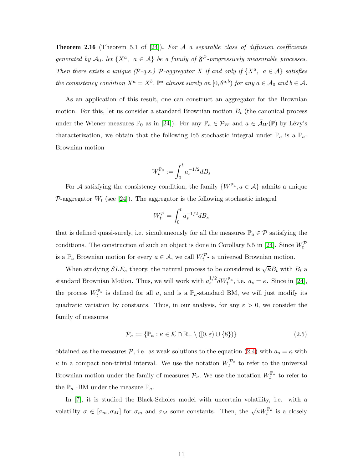**Theorem 2.16** (Theorem 5.1 of [\[24\]](#page-29-1)). For A a separable class of diffusion coefficients generated by  $A_0$ , let  $\{X^a, a \in \mathcal{A}\}$  be a family of  $\mathfrak{F}^{\mathcal{P}}$ -progressively measurable processes. Then there exists a unique  $(P-q.s.)$   $\mathcal{P}$ -aggregator X if and only if  $\{X^a, a \in \mathcal{A}\}$  satisfies the consistency condition  $X^a = X^b$ ,  $\mathbb{P}^a$  almost surely on  $[0, \theta^{a,b})$  for any  $a \in A_0$  and  $b \in A$ .

As an application of this result, one can construct an aggregator for the Brownian motion. For this, let us consider a standard Brownian motion  $B_t$  (the canonical process under the Wiener measures  $\mathbb{P}_0$  as in [\[24\]](#page-29-1)). For any  $\mathbb{P}_a \in \mathcal{P}_W$  and  $a \in \bar{\mathcal{A}}_W(\mathbb{P})$  by Lévy's characterization, we obtain that the following Itô stochastic integral under  $\mathbb{P}_a$  is a  $\mathbb{P}_a$ -Brownian motion

$$
W_t^{\mathbb{P}_a}:=\int_0^t a_s^{-1/2}dB_s
$$

For A satisfying the consistency condition, the family  $\{W^{\mathbb{P}_a}, a \in \mathcal{A}\}\$ admits a unique P-aggregator  $W_t$  (see [\[24\]](#page-29-1)). The aggregator is the following stochastic integral

$$
W_t^{\mathcal{P}} = \int_0^t a_s^{-1/2} dB_s
$$

that is defined quasi-surely, i.e. simultaneously for all the measures  $\mathbb{P}_a \in \mathcal{P}$  satisfying the conditions. The construction of such an object is done in Corollary 5.5 in [\[24\]](#page-29-1). Since  $W_t^p$ is a  $\mathbb{P}_a$  Brownian motion for every  $a \in \mathcal{A}$ , we call  $W_t^{\mathcal{P}_-}$  a universal Brownian motion.

When studying  $SLE_{\kappa}$  theory, the natural process to be considered is  $\sqrt{\kappa}B_t$  with  $B_t$  a standard Brownian Motion. Thus, we will work with  $a_s^{1/2} dW_t^{\mathbb{P}_a}$ , i.e.  $a_s = \kappa$ . Since in [\[24\]](#page-29-1), the process  $W_t^{\mathbb{P}_a}$  is defined for all a, and is a  $\mathbb{P}_a$ -standard BM, we will just modify its quadratic variation by constants. Thus, in our analysis, for any  $\varepsilon > 0$ , we consider the family of measures

<span id="page-10-0"></span>
$$
\mathcal{P}_{\kappa} := \{ \mathbb{P}_{\kappa} : \kappa \in \mathcal{K} \cap \mathbb{R}_{+} \setminus ([0, \varepsilon) \cup \{8\}) \} \tag{2.5}
$$

obtained as the measures P, i.e. as weak solutions to the equation [\(2.4\)](#page-8-0) with  $a_s = \kappa$  with  $\kappa$  in a compact non-trivial interval. We use the notation  $W_t^{\nu_{\kappa}}$  to refer to the universal Brownian motion under the family of measures  $\mathcal{P}_{\kappa}$ . We use the notation  $W_t^{\mathbb{P}_{\kappa}}$  to refer to the  $\mathbb{P}_{\kappa}$  -BM under the measure  $\mathbb{P}_{\kappa}$ .

In [\[7\]](#page-27-6), it is studied the Black-Scholes model with uncertain volatility, i.e. with a volatility  $\sigma \in [\sigma_m, \sigma_M]$  for  $\sigma_m$  and  $\sigma_M$  some constants. Then, the  $\sqrt{\kappa} W_t^{\mathbb{P}_{\kappa}}$  is a closely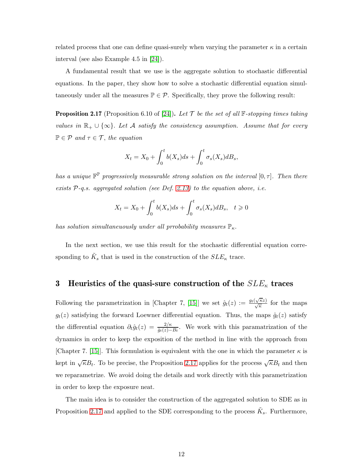related process that one can define quasi-surely when varying the parameter  $\kappa$  in a certain interval (see also Example 4.5 in [\[24\]](#page-29-1)).

A fundamental result that we use is the aggregate solution to stochastic differential equations. In the paper, they show how to solve a stochastic differential equation simultaneously under all the measures  $\mathbb{P} \in \mathcal{P}$ . Specifically, they prove the following result:

<span id="page-11-0"></span>**Proposition 2.17** (Proposition 6.10 of [\[24\]](#page-29-1)). Let T be the set of all  $\mathbb{F}$ -stopping times taking values in  $\mathbb{R}_+ \cup \{\infty\}$ . Let A satisfy the consistency assumption. Assume that for every  $\mathbb{P} \in \mathcal{P}$  and  $\tau \in \mathcal{T}$ , the equation

$$
X_t = X_0 + \int_0^t b(X_s)ds + \int_0^t \sigma_s(X_s)dB_s,
$$

has a unique  $\mathbb{F}^{\mathbb{P}}$  progressively measurable strong solution on the interval  $[0, \tau]$ . Then there exists  $P$ -q.s. aggregated solution (see Def. [2.13\)](#page-8-1) to the equation above, i.e.

$$
X_t = X_0 + \int_0^t b(X_s)ds + \int_0^t \sigma_s(X_s)dB_s, \quad t \geq 0
$$

has solution simultaneuously under all prrobability measures  $\mathbb{P}_{\kappa}$ .

In the next section, we use this result for the stochastic differential equation corresponding to  $\tilde{K}_s$  that is used in the construction of the  $SLE_{\kappa}$  trace.

## 3 Heuristics of the quasi-sure construction of the  $SLE_{\kappa}$  traces

Following the parametrization in [Chapter 7, [\[15\]](#page-28-2)] we set  $\hat{g}_t(z) := \frac{g_t(\sqrt{\kappa}z)}{\sqrt{\kappa}}$  for the maps  $g_t(z)$  satisfying the forward Loewner differential equation. Thus, the maps  $\hat{g}_t(z)$  satisfy the differential equation  $\partial_t \hat{g}_t(z) = \frac{2/\kappa}{\hat{g}_t(z)-B_t}$ . We work with this paramatrization of the dynamics in order to keep the exposition of the method in line with the approach from [Chapter 7. [\[15\]](#page-28-2)]. This formulation is equivalent with the one in which the parameter  $\kappa$  is kept in  $\sqrt{\kappa}B_t$ . To be precise, the Proposition [2.17](#page-11-0) applies for the process  $\sqrt{\kappa}B_t$  and then we reparametrize. We avoid doing the details and work directly with this parametrization in order to keep the exposure neat.

The main idea is to consider the construction of the aggregated solution to SDE as in Proposition [2.17](#page-11-0) and applied to the SDE corresponding to the process  $\tilde{K}_s$ . Furthermore,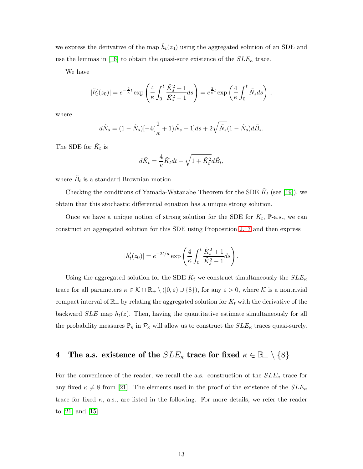we express the derivative of the map  $\tilde{h}_t(z_0)$  using the aggregated solution of an SDE and use the lemmas in [\[16\]](#page-28-10) to obtain the quasi-sure existence of the  $SLE_{\kappa}$  trace.

We have

$$
|\tilde{h}'_t(z_0)| = e^{-\frac{2}{\kappa}t} \exp\left(\frac{4}{\kappa} \int_0^t \frac{\tilde{K}_s^2 + 1}{\tilde{K}_s^2 - 1} ds\right) = e^{\frac{2}{\kappa}t} \exp\left(\frac{4}{\kappa} \int_0^t \tilde{N}_s ds\right),
$$

where

$$
d\tilde{N}_s = (1 - \tilde{N}_s)[-4(\frac{2}{\kappa} + 1)\tilde{N}_s + 1]ds + 2\sqrt{\tilde{N}_s}(1 - \tilde{N}_s)d\tilde{B}_s.
$$

The SDE for  $\tilde{K}_t$  is

$$
d\tilde{K}_t = \frac{4}{\kappa}\tilde{K}_t dt + \sqrt{1 + \tilde{K}_t^2} d\tilde{B}_t,
$$

where  $\tilde{B}_t$  is a standard Brownian motion.

Checking the conditions of Yamada-Watanabe Theorem for the SDE  $\tilde{K}_t$  (see [\[19\]](#page-28-11)), we obtain that this stochastic differential equation has a unique strong solution.

Once we have a unique notion of strong solution for the SDE for  $K_t$ , P-a.s., we can construct an aggregated solution for this SDE using Proposition [2.17](#page-11-0) and then express

$$
|\tilde{h}'_t(z_0)| = e^{-2t/\kappa} \exp\left(\frac{4}{\kappa} \int_0^t \frac{\tilde{K}_s^2 + 1}{\tilde{K}_s^2 - 1} ds\right).
$$

Using the aggregated solution for the SDE  $\tilde{K}_t$  we construct simultaneously the  $SLE_{\kappa}$ trace for all parameters  $\kappa \in \mathcal{K} \cap \mathbb{R}_+ \setminus ([0,\varepsilon) \cup \{8\})$ , for any  $\varepsilon > 0$ , where K is a nontrivial compact interval of  $\mathbb{R}_+$  by relating the aggregated solution for  $\tilde{K}_t$  with the derivative of the backward  $SLE$  map  $h_t(z)$ . Then, having the quantitative estimate simultaneously for all the probability measures  $\mathbb{P}_{\kappa}$  in  $\mathcal{P}_{\kappa}$  will allow us to construct the  $SLE_{\kappa}$  traces quasi-surely.

## 4 The a.s. existence of the  $SLE_{\kappa}$  trace for fixed  $\kappa \in \mathbb{R}_+ \setminus \{8\}$

For the convenience of the reader, we recall the a.s. construction of the  $SLE_{\kappa}$  trace for any fixed  $\kappa \neq 8$  from [\[21\]](#page-28-9). The elements used in the proof of the existence of the  $SLE_{\kappa}$ trace for fixed  $\kappa$ , a.s., are listed in the following. For more details, we refer the reader to [\[21\]](#page-28-9) and [\[15\]](#page-28-2).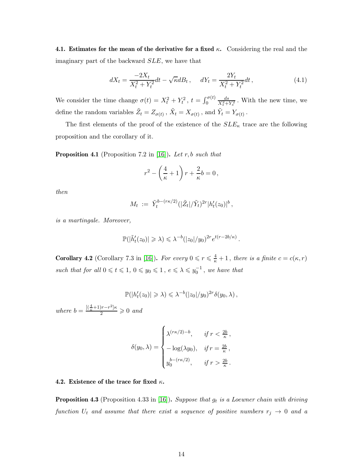4.1. Estimates for the mean of the derivative for a fixed  $\kappa$ . Considering the real and the imaginary part of the backward SLE, we have that

$$
dX_t = \frac{-2X_t}{X_t^2 + Y_t^2}dt - \sqrt{\kappa}dB_t, \quad dY_t = \frac{2Y_t}{X_t^2 + Y_t^2}dt,
$$
\n(4.1)

We consider the time change  $\sigma(t) = X_t^2 + Y_t^2$ ,  $t = \int_0^{\sigma(t)}$  $\frac{ds}{X_s^2 + Y_s^2}$ . With the new time, we define the random variables  $\tilde{Z}_t = Z_{\sigma(t)}$ ,  $\tilde{X}_t = X_{\sigma(t)}$ , and  $\tilde{Y}_t = Y_{\sigma(t)}$ .

The first elements of the proof of the existence of the  $SLE_{\kappa}$  trace are the following proposition and the corollary of it.

<span id="page-13-0"></span>**Proposition 4.1** (Proposition 7.2 in [\[16\]](#page-28-10)). Let r, b such that

$$
r^2 - \left(\frac{4}{\kappa} + 1\right)r + \frac{2}{\kappa}b = 0,
$$

then

$$
M_t := \tilde{Y}_t^{b - (r\kappa/2)}(|\tilde{Z}_t|/\tilde{Y}_t)^{2r} |h_t'(z_0)|^b,
$$

is a martingale. Moreover,

$$
\mathbb{P}(|\tilde{h}'_t(z_0)| \geq \lambda) \leq \lambda^{-b} (|z_0|/y_0)^{2r} e^{t(r-2b/\kappa)}.
$$

<span id="page-13-1"></span>**Corollary 4.2** (Corollary 7.3 in [\[16\]](#page-28-10)). For every  $0 \le r \le \frac{4}{\kappa} + 1$ , there is a finite  $c = c(\kappa, r)$ such that for all  $0 \leq t \leq 1, 0 \leq y_0 \leq 1, e \leq \lambda \leq y_0^{-1}$ , we have that

$$
\mathbb{P}(|h_t'(z_0)| \geq \lambda) \leq \lambda^{-b} (|z_0|/y_0)^{2r} \delta(y_0, \lambda) ,
$$

where  $b = \frac{[(\frac{4}{\kappa}+1)r-r^2]\kappa}{2} \geqslant 0$  and

$$
\delta(y_0, \lambda) = \begin{cases} \lambda^{(r\kappa/2)-b}, & \text{if } r < \frac{2b}{\kappa}, \\ -\log(\lambda y_0), & \text{if } r = \frac{2b}{\kappa}, \\ y_0^{b - (r\kappa/2)}, & \text{if } r > \frac{2b}{\kappa}. \end{cases}
$$

### 4.2. Existence of the trace for fixed  $\kappa$ .

**Proposition 4.3** (Proposition 4.33 in [\[16\]](#page-28-10)). Suppose that  $g_t$  is a Loewner chain with driving function  $U_t$  and assume that there exist a sequence of positive numbers  $r_j \rightarrow 0$  and a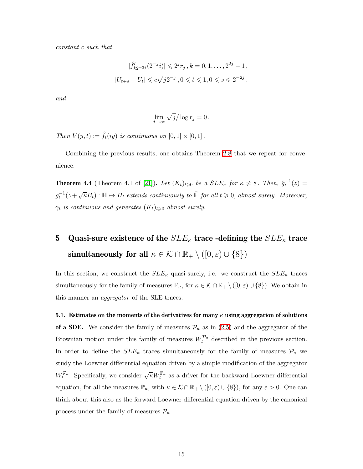constant c such that

$$
|\hat{f}'_{k2^{-2j}}(2^{-j}i)| \leq 2^{j}r_j, k = 0, 1, ..., 2^{2j} - 1,
$$
  

$$
|U_{t+s} - U_t| \leq c\sqrt{j}2^{-j}, 0 \leq t \leq 1, 0 \leq s \leq 2^{-2j}.
$$

and

$$
\lim_{j \to \infty} \sqrt{j} / \log r_j = 0.
$$

Then  $V(y,t) := \hat{f}_t(iy)$  is continuous on  $[0,1] \times [0,1]$ .

Combining the previous results, one obtains Theorem [2.8](#page-6-0) that we repeat for convenience.

**Theorem 4.4** (Theorem 4.1 of [\[21\]](#page-28-9)). Let  $(K_t)_{t\geqslant 0}$  be a  $SLE_{\kappa}$  for  $\kappa \neq 8$ . Then,  $\hat{g}_t^{-1}(z)$  =  $g_t^{-1}(z+\sqrt{\kappa}B_t): \mathbb{H} \mapsto H_t$  extends continuously to  $\bar{\mathbb{H}}$  for all  $t \geq 0$ , almost surely. Moreover,  $\gamma_t$  is continuous and generates  $(K_t)_{t\geqslant 0}$  almost surely.

# 5 Quasi-sure existence of the  $SLE_{\kappa}$  trace -defining the  $SLE_{\kappa}$  trace simultaneously for all  $\kappa \in \mathcal{K} \cap \mathbb{R}_+ \setminus ([0,\varepsilon) \cup \{8\})$

In this section, we construct the  $SLE_{\kappa}$  quasi-surely, i.e. we construct the  $SLE_{\kappa}$  traces simultaneously for the family of measures  $\mathbb{P}_{\kappa}$ , for  $\kappa \in \mathcal{K} \cap \mathbb{R}_+ \setminus ([0,\varepsilon) \cup \{8\})$ . We obtain in this manner an *aggregator* of the SLE traces.

5.1. Estimates on the moments of the derivatives for many  $\kappa$  using aggregation of solutions of a SDE. We consider the family of measures  $P<sub>\kappa</sub>$  as in [\(2.5\)](#page-10-0) and the aggregator of the Brownian motion under this family of measures  $W_t^{\rho_{\kappa}}$  described in the previous section. In order to define the  $SLE_{\kappa}$  traces simultaneously for the family of measures  $\mathcal{P}_{\kappa}$  we study the Loewner differential equation driven by a simple modification of the aggregator  $W_t^{\mathcal{P}_\kappa}$ . Specifically, we consider  $\sqrt{\kappa}W_t^{\mathbb{P}_\kappa}$  as a driver for the backward Loewner differential equation, for all the measures  $\mathbb{P}_{\kappa}$ , with  $\kappa \in \mathcal{K} \cap \mathbb{R}_+ \setminus ([0,\varepsilon) \cup \{8\})$ , for any  $\varepsilon > 0$ . One can think about this also as the forward Loewner differential equation driven by the canonical process under the family of measures  $\mathcal{P}_{\kappa}$ .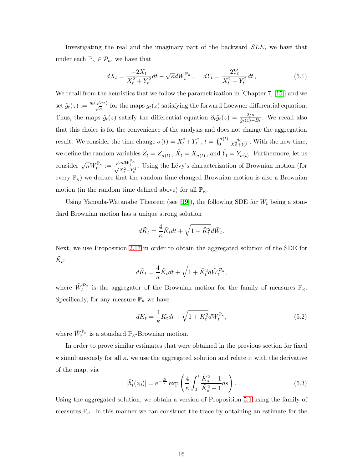Investigating the real and the imaginary part of the backward SLE, we have that under each  $\mathbb{P}_{\kappa} \in \mathcal{P}_{\kappa}$ , we have that

$$
dX_t = \frac{-2X_t}{X_t^2 + Y_t^2} dt - \sqrt{\kappa} dW_t^{\mathbb{P}_\kappa}, \quad dY_t = \frac{2Y_t}{X_t^2 + Y_t^2} dt,
$$
\n(5.1)

We recall from the heuristics that we follow the parametrization in [Chapter 7, [\[15\]](#page-28-2)] and we set  $\hat{g}_t(z) := \frac{g_t(\sqrt{\kappa}z)}{\sqrt{\kappa}}$  for the maps  $g_t(z)$  satisfying the forward Loewner differential equation. Thus, the maps  $\hat{g}_t(z)$  satisfy the differential equation  $\partial_t \hat{g}_t(z) = \frac{2/\kappa}{\hat{g}_t(z) - B_t}$ . We recall also that this choice is for the convenience of the analysis and does not change the aggregation result. We consider the time change  $\sigma(t) = X_t^2 + Y_t^2$ ,  $t = \int_0^{\sigma(t)}$  $\frac{ds}{X_s^2+Y_s^2}$ . With the new time, we define the random variables  $\tilde{Z}_t = Z_{\sigma(t)}$  ,  $\tilde{X}_t = X_{\sigma(t)}$  , and  $\tilde{Y}_t = Y_{\sigma(t)}$  . Furthermore, let us consider  $\sqrt{\kappa} \tilde{W}_t^{\mathbb{P}_{\kappa}} := \frac{\sqrt{\kappa}dW_t^{\mathbb{P}_{\kappa}}}{\sqrt{X_t^2 + Y_t^2}}$ . Using the Lévy's characterization of Brownian motion (for every  $\mathbb{P}_{\kappa}$ ) we deduce that the random time changed Brownian motion is also a Brownian motion (in the random time defined above) for all  $\mathbb{P}_{\kappa}$ .

Using Yamada-Watanabe Theorem (see [\[19\]](#page-28-11)), the following SDE for  $\tilde{W}_t$  being a standard Brownian motion has a unique strong solution

$$
d\tilde{K}_t = \frac{4}{\kappa} \tilde{K}_t dt + \sqrt{1 + \tilde{K}_t^2} d\tilde{W}_t.
$$

Next, we use Proposition [2.17](#page-11-0) in order to obtain the aggregated solution of the SDE for  $\tilde{K}_t$ :

$$
d\tilde{K}_t = \frac{4}{\kappa} \tilde{K}_t dt + \sqrt{1 + \tilde{K}_t^2} d\tilde{W}_t^{\mathcal{P}_\kappa},
$$

where  $\tilde{W}^{\mathcal{P}_{\kappa}}_t$  is the aggregator of the Brownian motion for the family of measures  $\mathbb{P}_{\kappa}$ . Specifically, for any measure  $\mathbb{P}_{\kappa}$  we have

<span id="page-15-1"></span>
$$
d\tilde{K}_t = \frac{4}{\kappa} \tilde{K}_t dt + \sqrt{1 + \tilde{K}_t^2} d\tilde{W}_t^{\mathbb{P}_{\kappa}},
$$
\n(5.2)

where  $\tilde{W}^{\mathbb{P}_{\kappa}}_t$  is a standard  $\mathbb{P}_{\kappa}$ -Brownian motion.

In order to prove similar estimates that were obtained in the previous section for fixed  $\kappa$  simultaneously for all  $\kappa$ , we use the aggregated solution and relate it with the derivative of the map, via

<span id="page-15-0"></span>
$$
|\tilde{h}'_t(z_0)| = e^{-\frac{2t}{\kappa}} \exp\left(\frac{4}{\kappa} \int_0^t \frac{\tilde{K}_s^2 + 1}{\tilde{K}_s^2 - 1} ds\right).
$$
 (5.3)

Using the aggregated solution, we obtain a version of Proposition [5.1](#page-15-0) using the family of measures  $\mathbb{P}_{\kappa}$ . In this manner we can construct the trace by obtaining an estimate for the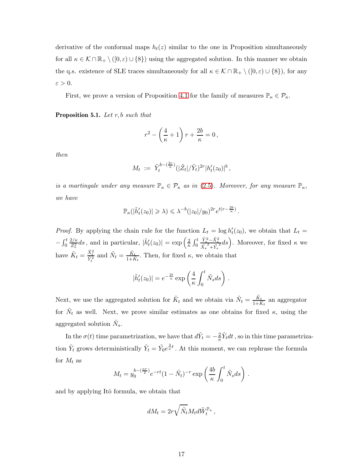derivative of the conformal maps  $h_t(z)$  similar to the one in Proposition simultaneously for all  $\kappa \in \mathcal{K} \cap \mathbb{R}_+ \setminus ([0,\varepsilon) \cup \{8\})$  using the aggregated solution. In this manner we obtain the q.s. existence of SLE traces simultaneously for all  $\kappa \in \mathcal{K} \cap \mathbb{R}_+ \setminus ([0,\varepsilon) \cup \{8\})$ , for any  $\varepsilon > 0$ .

First, we prove a version of Proposition [4.1](#page-13-0) for the family of measures  $\mathbb{P}_{\kappa} \in \mathcal{P}_{\kappa}$ .

**Proposition 5.1.** Let  $r, b$  such that

$$
r^2 - \left(\frac{4}{\kappa} + 1\right)r + \frac{2b}{\kappa} = 0,
$$

then

$$
M_t := \tilde{Y}_t^{b - (\frac{2r}{\kappa})} (|\tilde{Z}_t| / \tilde{Y}_t)^{2r} |h_t'(z_0)|^b,
$$

is a martingale under any measure  $\mathbb{P}_{\kappa} \in \mathcal{P}_{\kappa}$  as in [\(2.5\)](#page-10-0). Moreover, for any measure  $\mathbb{P}_{\kappa}$ , we have

$$
\mathbb{P}_{\kappa}(|\tilde{h}'_t(z_0)| \geqslant \lambda) \leqslant \lambda^{-b} (|z_0|/y_0)^{2r} e^{t(r-\frac{2b}{\kappa})}.
$$

*Proof.* By applying the chain rule for the function  $L_t = \log h'_t(z_0)$ , we obtain that  $L_t =$  $-\int_0^t$  $2/\kappa$  $\frac{2/\kappa}{Z_s^2}ds$ , and in particular,  $|\tilde{h}'_t(z_0)| = \exp\left(\frac{2}{\kappa}\right)$  $\frac{2}{\kappa} \int_0^t$  $\frac{\tilde{Y}_{s}^{2} - \tilde{X}_{s}^{2}}{\tilde{X}_{s}^{2} + \tilde{Y}_{s}^{2}} ds$ . Moreover, for fixed  $\kappa$  we have  $\tilde{K}_t = \frac{\tilde{X}_t^2}{\tilde{Y}_t^2}$  and  $\tilde{N}_t = \frac{\tilde{K}_t}{1 + \tilde{K}_t}$  $\frac{K_t}{1+\tilde{K}_t}$ . Then, for fixed  $\kappa$ , we obtain that

$$
|\tilde{h}'_t(z_0)| = e^{-\frac{2t}{\kappa}} \exp\left(\frac{4}{\kappa} \int_0^t \tilde{N}_s ds\right).
$$

Next, we use the aggregated solution for  $\tilde{K}_t$  and we obtain via  $\tilde{N}_t = \frac{\tilde{K}_t}{1+\tilde{K}_t}$  $\frac{K_t}{1+\tilde{K}_t}$  an aggregator for  $\tilde{N}_t$  as well. Next, we prove similar estimates as one obtains for fixed  $\kappa$ , using the aggregated solution  $\tilde{N}_s$ .

In the  $\sigma(t)$  time parametrization, we have that  $d\tilde{Y}_t = -\frac{2}{\kappa} \tilde{Y}_t dt$ , so in this time parametrization  $\tilde{Y}_t$  grows deterministically  $\tilde{Y}_t = \tilde{Y}_0 e^{\frac{2}{\kappa}t}$ . At this moment, we can rephrase the formula for  $M_t$  as

$$
M_t = y_0^{b - \left(\frac{\kappa r}{2}\right)} e^{-rt} (1 - \tilde{N}_t)^{-r} \exp\left(\frac{4b}{\kappa} \int_0^t \tilde{N}_s ds\right).
$$

and by applying Itô formula, we obtain that

$$
dM_t = 2r\sqrt{\tilde{N}_t}M_t d\tilde{W}_t^{\mathbb{P}_{\kappa}},
$$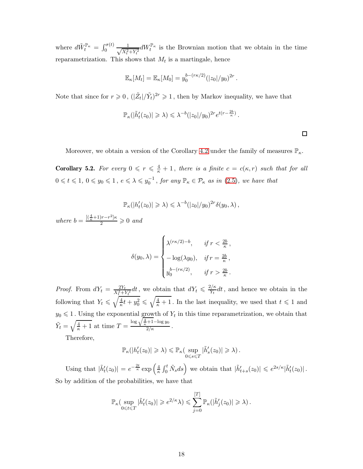where  $d\tilde{W}^{\mathbb{P}_{\kappa}}_t = \int_0^{\sigma(t)} \frac{1}{\sqrt{X^2}}$  $\frac{1}{X_t^2 + Y_t^2} dW_t^{\mathbb{P}_{\kappa}}$  is the Brownian motion that we obtain in the time reparametrization. This shows that  $M_t$  is a martingale, hence

$$
\mathbb{E}_{\kappa}[M_t] = \mathbb{E}_{\kappa}[M_0] = y_0^{b - (r\kappa/2)} (|z_0|/y_0)^{2r}.
$$

Note that since for  $r \geq 0$ ,  $(|\tilde{Z}_t|/\tilde{Y}_t)^{2r} \geq 1$ , then by Markov inequality, we have that

$$
\mathbb{P}_{\kappa}(|\tilde{h}'_t(z_0)| \geq \lambda) \leq \lambda^{-b} (|z_0|/y_0)^{2r} e^{t(r-\frac{2b}{\kappa})}
$$

.

 $\Box$ 

Moreover, we obtain a version of the Corollary [4.2](#page-13-1) under the family of measures  $\mathbb{P}_{\kappa}$ .

<span id="page-17-0"></span>**Corollary 5.2.** For every  $0 \leq r \leq \frac{4}{\kappa} + 1$ , there is a finite  $c = c(\kappa, r)$  such that for all  $0 \leq t \leq 1, 0 \leq y_0 \leq 1, e \leq \lambda \leq y_0^{-1}$ , for any  $\mathbb{P}_{\kappa} \in \mathcal{P}_{\kappa}$  as in [\(2.5\)](#page-10-0), we have that

$$
\mathbb{P}_{\kappa}(|h'_t(z_0)| \geq \lambda) \leq \lambda^{-b} (|z_0|/y_0)^{2r} \delta(y_0,\lambda),
$$

where  $b = \frac{[(\frac{4}{\kappa}+1)r-r^2]\kappa}{2} \geq 0$  and

$$
\delta(y_0, \lambda) = \begin{cases}\n\lambda^{(r\kappa/2)-b}, & \text{if } r < \frac{2b}{\kappa}, \\
-\log(\lambda y_0), & \text{if } r = \frac{2b}{\kappa}, \\
y_0^{b - (r\kappa/2)}, & \text{if } r > \frac{2b}{\kappa}.\n\end{cases}
$$

*Proof.* From  $dY_t = \frac{2Y_t}{X_t^2 + Y_t^2} dt$ , we obtain that  $dY_t \leq \frac{2/\kappa}{Y_t}$  $\frac{\partial f}{\partial Y_t} dt$ , and hence we obtain in the following that  $Y_t \leqslant \sqrt{\frac{4}{\kappa}}$  $\frac{4}{\kappa}t + y_0^2 \leqslant \sqrt{\frac{4}{\kappa} + 1}$ . In the last inequality, we used that  $t \leqslant 1$  and  $y_0 \leq 1$ . Using the exponential growth of  $Y_t$  in this time reparametrization, we obtain that  $\tilde{Y}_t = \sqrt{\frac{4}{\kappa} + 1}$  at time  $T =$  $\frac{\log \sqrt{\frac{4}{\kappa}+1}-\log y_0}{2/\kappa}$ .

Therefore,

$$
\mathbb{P}_{\kappa}(|h'_t(z_0)| \geq \lambda) \leq \mathbb{P}_{\kappa}(\sup_{0 \leq s \leq T} |\tilde{h}'_s(z_0)| \geq \lambda).
$$

Using that  $|\tilde{h}'_t(z_0)| = e^{-\frac{2t}{\kappa}} \exp\left(\frac{4}{\kappa}\right)$  $\frac{4}{\kappa} \int_0^t \tilde{N}_s ds$  we obtain that  $|\tilde{h}'_{t+s}(z_0)| \leqslant e^{2s/\kappa} |\tilde{h}'_t(z_0)|$ . So by addition of the probabilities, we have that

$$
\mathbb{P}_{\kappa}(\sup_{0\leqslant t\leqslant T}|\tilde{h}'_t(z_0)|\geqslant e^{2/\kappa}\lambda)\leqslant \sum_{j=0}^{[T]}\mathbb{P}_{\kappa}(|\tilde{h}'_j(z_0)|\geqslant\lambda)\,.
$$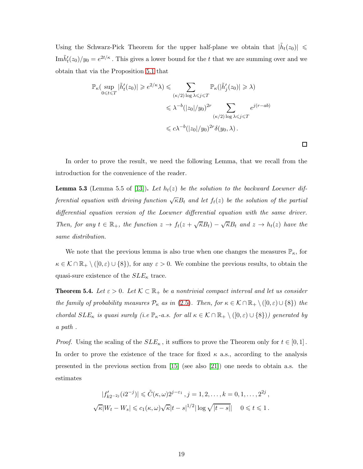Using the Schwarz-Pick Theorem for the upper half-plane we obtain that  $|\tilde{h}_t(z_0)| \leq$  $\text{Im}\tilde{h}'_t(z_0)/y_0 = e^{2t/\kappa}$ . This gives a lower bound for the t that we are summing over and we obtain that via the Proposition [5.1](#page-15-0) that

$$
\mathbb{P}_{\kappa}(\sup_{0 \leq t \leq T} |\tilde{h}'_t(z_0)| \geq e^{2/\kappa} \lambda) \leq \sum_{(\kappa/2) \log \lambda \leq j \leq T} \mathbb{P}_{\kappa}(|\tilde{h}'_j(z_0)| \geq \lambda)
$$
  

$$
\leq \lambda^{-b} (|z_0|/y_0)^{2r} \sum_{(\kappa/2) \log \lambda \leq j \leq T} e^{j(r-ab)}
$$
  

$$
\leq c \lambda^{-b} (|z_0|/y_0)^{2r} \delta(y_0, \lambda).
$$

In order to prove the result, we need the following Lemma, that we recall from the introduction for the convenience of the reader.

 $\Box$ 

<span id="page-18-0"></span>**Lemma 5.3** (Lemma 5.5 of [\[13\]](#page-28-8)). Let  $h_t(z)$  be the solution to the backward Loewner differential equation with driving function  $\sqrt{\kappa}B_t$  and let  $f_t(z)$  be the solution of the partial differential equation version of the Loewner differential equation with the same driver. Then, for any  $t \in \mathbb{R}_+$ , the function  $z \to f_t(z + \sqrt{\kappa}B_t) - \sqrt{\kappa}B_t$  and  $z \to h_t(z)$  have the same distribution.

We note that the previous lemma is also true when one changes the measures  $\mathbb{P}_{\kappa}$ , for  $\kappa \in \mathcal{K} \cap \mathbb{R}_+ \setminus ([0,\varepsilon) \cup \{8\})$ , for any  $\varepsilon > 0$ . We combine the previous results, to obtain the quasi-sure existence of the  $SLE_{\kappa}$  trace.

**Theorem 5.4.** Let  $\varepsilon > 0$ . Let  $\mathcal{K} \subset \mathbb{R}_+$  be a nontrivial compact interval and let us consider the family of probability measures  $\mathcal{P}_{\kappa}$  as in [\(2.5\)](#page-10-0). Then, for  $\kappa \in \mathcal{K} \cap \mathbb{R}_+ \setminus ([0,\varepsilon) \cup \{8\})$  the chordal  $SLE_{\kappa}$  is quasi surely (i.e  $\mathbb{P}_{\kappa}$ -a.s. for all  $\kappa \in \mathcal{K} \cap \mathbb{R}_{+} \setminus ([0,\varepsilon) \cup \{8\})$ ) generated by a path .

*Proof.* Using the scaling of the  $SLE_{\kappa}$ , it suffices to prove the Theorem only for  $t \in [0,1]$ . In order to prove the existence of the trace for fixed  $\kappa$  a.s., according to the analysis presented in the previous section from [\[15\]](#page-28-2) (see also [\[21\]](#page-28-9)) one needs to obtain a.s. the estimates

$$
|f'_{k2^{-2j}}(i2^{-j})| \leq \tilde{C}(\kappa,\omega)2^{j-\varepsilon_1}, j=1,2,\ldots,k=0,1,\ldots,2^{2j},
$$
  

$$
\sqrt{\kappa}|W_t - W_s| \leq c_1(\kappa,\omega)\sqrt{\kappa}|t-s|^{1/2}|\log\sqrt{|t-s|}|\quad 0 \leq t \leq 1.
$$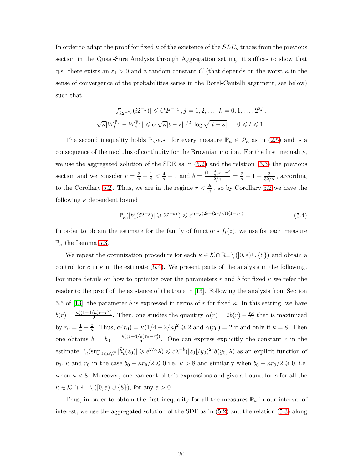In order to adapt the proof for fixed  $\kappa$  of the existence of the  $SLE_{\kappa}$  traces from the previous section in the Quasi-Sure Analysis through Aggregation setting, it suffices to show that q.s. there exists an  $\varepsilon_1 > 0$  and a random constant C (that depends on the worst  $\kappa$  in the sense of convergence of the probabilities series in the Borel-Cantelli argument, see below) such that

$$
|f'_{k2^{-2j}}(i2^{-j})| \leq C2^{j-\varepsilon_1}, j = 1, 2, ..., k = 0, 1, ..., 2^{2j},
$$
  

$$
\sqrt{\kappa}|W_t^{\mathbb{P}_{\kappa}} - W_s^{\mathbb{P}_{\kappa}}| \leq c_1 \sqrt{\kappa}|t - s|^{1/2} |\log \sqrt{|t - s|} | \quad 0 \leq t \leq 1.
$$

The second inequality holds  $\mathbb{P}_{\kappa}$ -a.s. for every measure  $\mathbb{P}_{\kappa} \in \mathcal{P}_{\kappa}$  as in [\(2.5\)](#page-10-0) and is a consequence of the modulus of continuity for the Brownian motion. For the first inequality, we use the aggregated solution of the SDE as in [\(5.2\)](#page-15-1) and the relation [\(5.3\)](#page-15-0) the previous section and we consider  $r = \frac{2}{\kappa} + \frac{1}{4} < \frac{4}{\kappa} + 1$  and  $b = \frac{(1 + \frac{4}{\kappa})r - r^2}{2/\kappa} = \frac{2}{\kappa} + 1 + \frac{3}{32/\kappa}$ , according to the Corollary [5.2](#page-17-0). Thus, we are in the regime  $r < \frac{2b}{\kappa}$ , so by Corollary 5.2 we have the following  $\kappa$  dependent bound

<span id="page-19-0"></span>
$$
\mathbb{P}_{\kappa}(|h'_t(i2^{-j})| \geq 2^{j-\varepsilon_1}) \leqslant c2^{-j(2b-(2r/\kappa))(1-\varepsilon_1)}\tag{5.4}
$$

In order to obtain the estimate for the family of functions  $f_t(z)$ , we use for each measure  $\mathbb{P}_{\kappa}$  the Lemma [5.3.](#page-18-0)

We repeat the optimization procedure for each  $\kappa \in \mathcal{K} \cap \mathbb{R}_+ \setminus ([0,\varepsilon) \cup \{8\})$  and obtain a control for c in  $\kappa$  in the estimate [\(5.4\)](#page-19-0). We present parts of the analysis in the following. For more details on how to optimize over the parameters r and b for fixed  $\kappa$  we refer the reader to the proof of the existence of the trace in [\[13\]](#page-28-8). Following the analysis from Section 5.5 of [\[13\]](#page-28-8), the parameter b is expressed in terms of r for fixed  $\kappa$ . In this setting, we have  $b(r) = \frac{\kappa((1+4/\kappa)r - r^2)}{2}$  $\frac{2}{2}$ . Then, one studies the quantity  $\alpha(r) = 2b(r) - \frac{r\kappa}{2}$  $\frac{\pi}{2}$  that is maximized by  $r_0 = \frac{1}{4} + \frac{2}{\kappa}$ . Thus,  $\alpha(r_0) = \kappa(1/4 + 2/\kappa)^2 \geq 2$  and  $\alpha(r_0) = 2$  if and only if  $\kappa = 8$ . Then one obtains  $b = b_0 = \frac{\kappa((1+4/\kappa)r_0-r_0^2)}{2}$  $\frac{\kappa_{10}-r_{0}}{2}$ . One can express explicitly the constant c in the estimate  $\mathbb{P}_{\kappa}(\sup_{0\leq t\leq T}|\tilde{h}'_t(z_0)|\geqslant e^{2/\kappa}\lambda)\leqslant c\lambda^{-b}(|z_0|/y_0)^{2r}\delta(y_0,\lambda)$  as an explicit function of  $p_0$ ,  $\kappa$  and  $r_0$  in the case  $b_0 - \kappa r_0/2 \leq 0$  i.e.  $\kappa > 8$  and similarly when  $b_0 - \kappa r_0/2 \geq 0$ , i.e. when  $\kappa < 8$ . Moreover, one can control this expressions and give a bound for c for all the  $\kappa \in \mathcal{K} \cap \mathbb{R}_+ \setminus ([0,\varepsilon) \cup \{8\}),$  for any  $\varepsilon > 0$ .

Thus, in order to obtain the first inequality for all the measures  $\mathbb{P}_{\kappa}$  in our interval of interest, we use the aggregated solution of the SDE as in [\(5.2\)](#page-15-1) and the relation [\(5.3\)](#page-15-0) along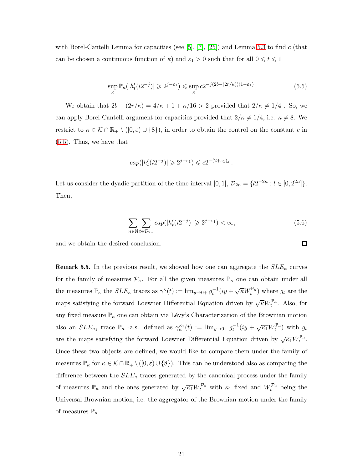with Borel-Cantelli Lemma for capacities (see  $[5]$ ,  $[7]$ ,  $[25]$ ) and Lemma [5.3](#page-18-0) to find c (that can be chosen a continuous function of  $\kappa$ ) and  $\varepsilon_1 > 0$  such that for all  $0 \le t \le 1$ 

<span id="page-20-0"></span>
$$
\sup_{\kappa} \mathbb{P}_{\kappa}(|h'_t(i2^{-j})| \geq 2^{j-\varepsilon_1}) \leq \sup_{\kappa} c2^{-j(2b-(2r/\kappa))(1-\varepsilon_1)}.
$$
\n(5.5)

We obtain that  $2b - (2r/\kappa) = 4/\kappa + 1 + \kappa/16 > 2$  provided that  $2/\kappa \neq 1/4$ . So, we can apply Borel-Cantelli argument for capacities provided that  $2/\kappa \neq 1/4$ , i.e.  $\kappa \neq 8$ . We restrict to  $\kappa \in \mathcal{K} \cap \mathbb{R}_+ \setminus ([0,\varepsilon) \cup \{8\})$ , in order to obtain the control on the constant c in [\(5.5\)](#page-20-0). Thus, we have that

$$
cap(|h'_t(i2^{-j})| \geq 2^{j-\varepsilon_1}) \leq c2^{-(2+\varepsilon_1)j}.
$$

Let us consider the dyadic partition of the time interval  $[0,1]$ ,  $\mathcal{D}_{2n} = \{l2^{-2n} : l \in [0,2^{2n}]\}.$ Then,

<span id="page-20-1"></span>
$$
\sum_{n \in \mathbb{N}} \sum_{t \in \mathcal{D}_{2n}} cap(|h'_t(i2^{-j})| \geq 2^{j-\varepsilon_1}) < \infty,\tag{5.6}
$$

and we obtain the desired conclusion.

**Remark 5.5.** In the previous result, we showed how one can aggregate the  $SLE_{\kappa}$  curves for the family of measures  $P_{\kappa}$ . For all the given measures  $\mathbb{P}_{\kappa}$  one can obtain under all the measures  $\mathbb{P}_{\kappa}$  the  $SLE_{\kappa}$  traces as  $\gamma^{\kappa}(t) := \lim_{y\to 0+} g_t^{-1}(iy + \sqrt{\kappa}W_t^{\mathbb{P}_{\kappa}})$  where  $g_t$  are the maps satisfying the forward Loewner Differential Equation driven by  $\sqrt{\kappa}W_t^{\mathbb{P}_{\kappa}}$ . Also, for any fixed measure  $\mathbb{P}_{\kappa}$  one can obtain via Lévy's Characterization of the Brownian motion also an  $SLE_{\kappa_1}$  trace  $\mathbb{P}_{\kappa}$  -a.s. defined as  $\gamma_{\kappa}^{\kappa_1}(t) := \lim_{y\to 0+} g_t^{-1}(iy + \sqrt{\kappa_1}W_t^{\mathbb{P}_{\kappa}})$  with  $g_t$ are the maps satisfying the forward Loewner Differential Equation driven by  $\sqrt{\kappa_1} W_t^{\mathbb{P}_{\kappa}}$ . Once these two objects are defined, we would like to compare them under the family of measures  $\mathbb{P}_{\kappa}$  for  $\kappa \in \mathcal{K} \cap \mathbb{R}_+ \setminus ([0,\varepsilon) \cup \{8\})$ . This can be understood also as comparing the difference between the  $SLE_{\kappa}$  traces generated by the canonical process under the family of measures  $\mathbb{P}_{\kappa}$  and the ones generated by  $\sqrt{\kappa_1}W_t^{\mathcal{P}_{\kappa}}$  with  $\kappa_1$  fixed and  $W_t^{\mathcal{P}_{\kappa}}$  being the Universal Brownian motion, i.e. the aggregator of the Brownian motion under the family of measures  $\mathbb{P}_{\kappa}$ .

```
\Box
```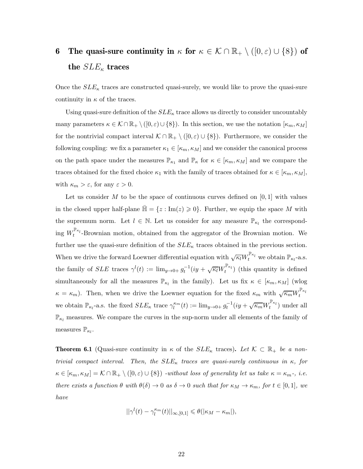## 6 The quasi-sure continuity in  $\kappa$  for  $\kappa \in \mathcal{K} \cap \mathbb{R}_+ \setminus (\{0,\varepsilon) \cup \{8\} \}$  of the  $SLE_{\kappa}$  traces

Once the  $SLE_{\kappa}$  traces are constructed quasi-surely, we would like to prove the quasi-sure continuity in  $\kappa$  of the traces.

Using quasi-sure definition of the  $SLE_{\kappa}$  trace allows us directly to consider uncountably many parameters  $\kappa \in \mathcal{K} \cap \mathbb{R}_+ \setminus ([0,\varepsilon) \cup \{8\})$ . In this section, we use the notation  $[\kappa_m, \kappa_M]$ for the nontrivial compact interval  $\mathcal{K} \cap \mathbb{R}_+ \setminus ([0,\varepsilon) \cup \{8\})$ . Furthermore, we consider the following coupling: we fix a parameter  $\kappa_1 \in [\kappa_m, \kappa_M]$  and we consider the canonical process on the path space under the measures  $\mathbb{P}_{\kappa_1}$  and  $\mathbb{P}_{\kappa}$  for  $\kappa \in [\kappa_m, \kappa_M]$  and we compare the traces obtained for the fixed choice  $\kappa_1$  with the family of traces obtained for  $\kappa \in [\kappa_m, \kappa_M]$ , with  $\kappa_m > \varepsilon$ , for any  $\varepsilon > 0$ .

Let us consider M to be the space of continuous curves defined on  $[0, 1]$  with values in the closed upper half-plane  $\mathbb{H} = \{z : \text{Im}(z) \geq 0\}$ . Further, we equip the space M with the supremum norm. Let  $l \in \mathbb{N}$ . Let us consider for any measure  $\mathbb{P}_{\kappa_l}$  the corresponding  $W_t^{\mathbb{P}_{\kappa_l}}$ -Brownian motion, obtained from the aggregator of the Brownian motion. We further use the quasi-sure definition of the  $SLE_{\kappa}$  traces obtained in the previous section. When we drive the forward Loewner differential equation with  $\sqrt{\kappa_l}W_t^{\mathbb{P}_{\kappa_l}}$  we obtain  $\mathbb{P}_{\kappa_l}$ -a.s. the family of SLE traces  $\gamma^l(t) := \lim_{y\to 0+} g_t^{-1}(iy + \sqrt{\kappa_l}W_t^{\mathbb{P}_{\kappa_l}})$  (this quantity is defined simultaneously for all the measures  $\mathbb{P}_{\kappa_l}$  in the family). Let us fix  $\kappa \in [\kappa_m, \kappa_M]$  (wlog  $\kappa = \kappa_m$ ). Then, when we drive the Loewner equation for the fixed  $\kappa_m$  with  $\sqrt{\kappa_m} W_t^{\mathbb{P}_{\kappa_l}}$ we obtain  $\mathbb{P}_{\kappa_l}$ -a.s. the fixed  $SLE_{\kappa}$  trace  $\gamma_l^{\kappa_m}(t) := \lim_{y\to 0+} g_t^{-1}(iy + \sqrt{\kappa_m}W_t^{\mathbb{P}_{\kappa_l}})$  under all  $\mathbb{P}_{\kappa_l}$  measures. We compare the curves in the sup-norm under all elements of the family of measures  $\mathbb{P}_{\kappa_l}$ .

<span id="page-21-0"></span>**Theorem 6.1** (Quasi-sure continuity in  $\kappa$  of the  $SLE_{\kappa}$  traces). Let  $\mathcal{K} \subset \mathbb{R}_+$  be a nontrivial compact interval. Then, the  $SLE_{\kappa}$  traces are quasi-surely continuous in  $\kappa$ , for  $\kappa \in [\kappa_m, \kappa_M] = \mathcal{K} \cap \mathbb{R}_+ \setminus ([0, \varepsilon) \cup \{8\})$  -without loss of generality let us take  $\kappa = \kappa_m$ -, i.e. there exists a function  $\theta$  with  $\theta(\delta) \to 0$  as  $\delta \to 0$  such that for  $\kappa_M \to \kappa_m$ , for  $t \in [0,1]$ , we have

$$
||\gamma^{l}(t)-\gamma_{l}^{\kappa_{m}}(t)||_{\infty,[0,1]}\leqslant \theta(|\kappa_{M}-\kappa_{m}|),
$$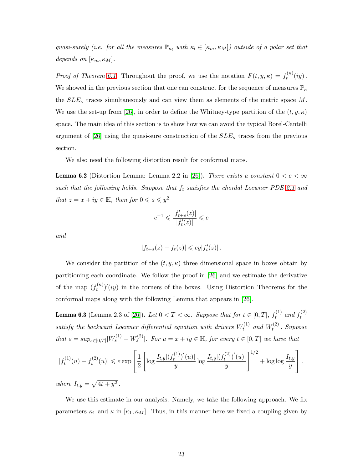quasi-surely (i.e. for all the measures  $\mathbb{P}_{\kappa_l}$  with  $\kappa_l \in [\kappa_m, \kappa_M]$ ) outside of a polar set that depends on  $[\kappa_m, \kappa_M]$ .

*Proof of Theorem [6.1.](#page-21-0)* Throughout the proof, we use the notation  $F(t, y, \kappa) = f_t^{(\kappa)}$  $t^{(\kappa)}(iy)$ . We showed in the previous section that one can construct for the sequence of measures  $\mathbb{P}_{\kappa}$ the  $SLE_{\kappa}$  traces simultaneously and can view them as elements of the metric space M. We use the set-up from [\[26\]](#page-29-0), in order to define the Whitney-type partition of the  $(t, y, \kappa)$ space. The main idea of this section is to show how we can avoid the typical Borel-Cantelli argument of [\[26\]](#page-29-0) using the quasi-sure construction of the  $SLE_{\kappa}$  traces from the previous section.

We also need the following distortion result for conformal maps.

<span id="page-22-1"></span>**Lemma 6.2** (Distortion Lemma: Lemma 2.2 in [\[26\]](#page-29-0)). There exists a constant  $0 < c < \infty$ such that the following holds. Suppose that  $f_t$  satisfies the chordal Loewner PDE [2.1](#page-5-0) and that  $z = x + iy \in \mathbb{H}$ , then for  $0 \le s \le y^2$ 

$$
c^{-1}\leqslant \frac{|f_{t+s}'(z)|}{|f_t'(z)|}\leqslant c
$$

and

$$
|f_{t+s}(z)-f_t(z)|\leqslant cy|f_t'(z)|.
$$

We consider the partition of the  $(t, y, \kappa)$  three dimensional space in boxes obtain by partitioning each coordinate. We follow the proof in [\[26\]](#page-29-0) and we estimate the derivative of the map  $(f_t^{(\kappa)})$  $(t^{(k)})'(iy)$  in the corners of the boxes. Using Distortion Theorems for the conformal maps along with the following Lemma that appears in [\[26\]](#page-29-0).

<span id="page-22-0"></span>**Lemma 6.3** (Lemma 2.3 of [\[26\]](#page-29-0)). Let  $0 < T < \infty$ . Suppose that for  $t \in [0, T]$ ,  $f_t^{(1)}$  $t_t^{(1)}$  and  $f_t^{(2)}$ t satisfy the backward Loewner differential equation with drivers  $W_t^{(1)}$  $t_t^{(1)}$  and  $W_t^{(2)}$  $t^{(2)}$ . Suppose that  $\varepsilon = \sup_{s \in [0,T]} |W_s^{(1)} - W_s^{(2)}|$ . For  $u = x + iy \in \mathbb{H}$ , for every  $t \in [0,T]$  we have that

$$
|f_t^{(1)}(u) - f_t^{(2)}(u)| \le \varepsilon \exp\left[\frac{1}{2}\left[\log \frac{I_{t,y}|(f_t^{(1)})'(u)|}{y}\log \frac{I_{t,y}|(f_t^{(2)})'(u)|}{y}\right]^{1/2} + \log \log \frac{I_{t,y}}{y}\right],
$$
  
where  $I_{t,x} = \sqrt{4t + y^2}$ 

where  $I_{t,y}$  $\sqrt{4t + y^2}$ .

We use this estimate in our analysis. Namely, we take the following approach. We fix parameters  $\kappa_1$  and  $\kappa$  in  $[\kappa_1, \kappa_M]$ . Thus, in this manner here we fixed a coupling given by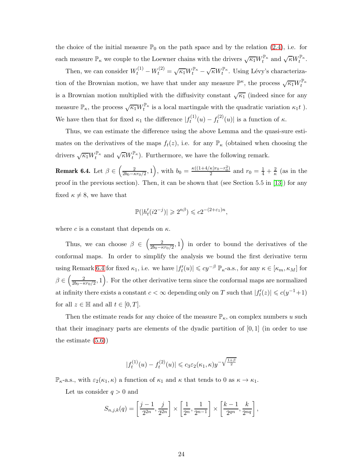the choice of the initial measure  $\mathbb{P}_0$  on the path space and by the relation [\(2.4\)](#page-8-0), i.e. for each measure  $\mathbb{P}_\kappa$  we couple to the Loewner chains with the drivers  $\sqrt{\kappa_1} W_t^{\mathbb{P}_\kappa}$  and  $\sqrt{\kappa} W_t^{\mathbb{P}_\kappa}$ .

Then, we can consider  $W_t^{(1)} - W_t^{(2)} = \sqrt{\kappa_1} W_t^{\mathbb{P}_\kappa} - \sqrt{\kappa} W_t^{\mathbb{P}_\kappa}$ . Using Lévy's characterization of the Brownian motion, we have that under any measure  $\mathbb{P}^{\kappa}$ , the process  $\sqrt{\kappa_1}W_t^{\mathbb{P}_{\kappa}}$ is a Brownian motion multiplied with the diffusivity constant  $\sqrt{\kappa_1}$  (indeed since for any measure  $\mathbb{P}_{\kappa}$ , the process  $\sqrt{\kappa_1}W_t^{\mathbb{P}_{\kappa}}$  is a local martingale with the quadratic variation  $\kappa_1 t$  ). We have then that for fixed  $\kappa_1$  the difference  $|f_t^{(1)}\rangle$  $f_t^{(1)}(u) - f_t^{(2)}$  $t^{(2)}(u)$  is a function of  $\kappa$ .

Thus, we can estimate the difference using the above Lemma and the quasi-sure estimates on the derivatives of the maps  $f_t(z)$ , i.e. for any  $\mathbb{P}_{\kappa}$  (obtained when choosing the drivers  $\sqrt{\kappa_1} W_t^{\mathbb{P}_\kappa}$  and  $\sqrt{\kappa} W_t^{\mathbb{P}_\kappa}$ ). Furthermore, we have the following remark.

<span id="page-23-0"></span>**Remark 6.4.** Let  $\beta \in \left(\frac{2}{2b_0 - \kappa}\right)$  $\frac{2}{2b_0 - \kappa r_0/2}$ , 1), with  $b_0 = \frac{\kappa ((1 + 4/\kappa)r_0 - r_0^2)}{2}$  $\frac{\kappa r_0-r_0^2}{2}$  and  $r_0=\frac{1}{4}+\frac{2}{\kappa}$  $\frac{2}{\kappa}$  (as in the proof in the previous section). Then, it can be shown that (see Section 5.5 in [\[13\]](#page-28-8)) for any fixed  $\kappa \neq 8$ , we have that

$$
\mathbb{P}(|h'_t(i2^{-j})| \geq 2^{n\beta}) \leq c2^{-(2+\varepsilon_1)n},
$$

where c is a constant that depends on  $\kappa$ .

Thus, we can choose  $\beta \in \left(\frac{2}{2b_0 - \kappa}\right)$  $\left(\frac{2}{2b_0-\kappa r_0/2},1\right)$  in order to bound the derivatives of the conformal maps. In order to simplify the analysis we bound the first derivative term using Remark [6.4](#page-23-0) for fixed  $\kappa_1$ , i.e. we have  $|f'_t(u)| \leqslant cy^{-\beta} \mathbb{P}_{\kappa}$ -a.s., for any  $\kappa \in [\kappa_m, \kappa_M]$  for  $\beta \in \left(\frac{2}{2b_0 - \kappa}\right)$  $\left( \frac{2}{2b_0 - \kappa r_0/2}, 1 \right)$ . For the other derivative term since the conformal maps are normalized at infinity there exists a constant  $c < \infty$  depending only on T such that  $|f'_t(z)| \leqslant c(y^{-1}+1)$ for all  $z \in \mathbb{H}$  and all  $t \in [0, T]$ .

Then the estimate reads for any choice of the measure  $\mathbb{P}_{\kappa}$ , on complex numbers u such that their imaginary parts are elements of the dyadic partition of  $[0, 1]$  (in order to use the estimate [\(5.6\)](#page-20-1))

$$
|f_t^{(1)}(u) - f_t^{(2)}(u)| \leq c_3 \varepsilon_2(\kappa_1, \kappa) y^{-\sqrt{\frac{1+\beta}{2}}}
$$

 $\mathbb{P}_{\kappa}$ -a.s., with  $\varepsilon_2(\kappa_1,\kappa)$  a function of  $\kappa_1$  and  $\kappa$  that tends to 0 as  $\kappa \to \kappa_1$ .

Let us consider  $q > 0$  and

$$
S_{n,j,k}(q) = \left[\frac{j-1}{2^{2n}}, \frac{j}{2^{2n}}\right] \times \left[\frac{1}{2^n}, \frac{1}{2^{n-1}}\right] \times \left[\frac{k-1}{2^{qn}}, \frac{k}{2^{nq}}\right],
$$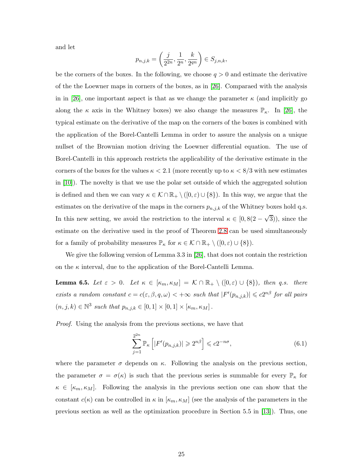and let

$$
p_{n,j,k} = \left(\frac{j}{2^{2n}}, \frac{1}{2^n}, \frac{k}{2^{qn}}\right) \in S_{j,n,k},
$$

be the corners of the boxes. In the following, we choose  $q > 0$  and estimate the derivative of the the Loewner maps in corners of the boxes, as in [\[26\]](#page-29-0). Comparaed with the analysis in in [\[26\]](#page-29-0), one important aspect is that as we change the parameter  $\kappa$  (and implicitly go along the  $\kappa$  axis in the Whitney boxes) we also change the measures  $\mathbb{P}_{\kappa}$ . In [\[26\]](#page-29-0), the typical estimate on the derivative of the map on the corners of the boxes is combined with the application of the Borel-Cantelli Lemma in order to assure the analysis on a unique nullset of the Brownian motion driving the Loewner differential equation. The use of Borel-Cantelli in this approach restricts the applicability of the derivative estimate in the corners of the boxes for the values  $\kappa < 2.1$  (more recently up to  $\kappa < 8/3$  with new estimates in [\[10\]](#page-27-4)). The novelty is that we use the polar set outside of which the aggregated solution is defined and then we can vary  $\kappa \in \mathcal{K} \cap \mathbb{R}_+ \setminus ([0,\varepsilon) \cup \{8\})$ . In this way, we argue that the estimates on the derivative of the maps in the corners  $p_{n,j,k}$  of the Whitney boxes hold q.s. In this new setting, we avoid the restriction to the interval  $\kappa \in [0, 8(2-\sqrt{3}))$ , since the estimate on the derivative used in the proof of Theorem [2.8](#page-6-0) can be used simultaneously for a family of probability measures  $\mathbb{P}_{\kappa}$  for  $\kappa \in \mathcal{K} \cap \mathbb{R}_+ \setminus ([0,\varepsilon) \cup \{8\}).$ 

We give the following version of Lemma 3.3 in [\[26\]](#page-29-0), that does not contain the restriction on the  $\kappa$  interval, due to the application of the Borel-Cantelli Lemma.

<span id="page-24-1"></span>**Lemma 6.5.** Let  $\varepsilon > 0$ . Let  $\kappa \in [\kappa_m, \kappa_M] = \mathcal{K} \cap \mathbb{R}_+ \setminus ([0, \varepsilon) \cup \{8\})$ , then q.s. there exists a random constant  $c = c(\varepsilon, \beta, q, \omega) < +\infty$  such that  $|F'(p_{n,j,k})| \leq c2^{n\beta}$  for all pairs  $(n, j, k) \in \mathbb{N}^3$  such that  $p_{n,j,k} \in [0, 1] \times [0, 1] \times [\kappa_m, \kappa_M]$ .

Proof. Using the analysis from the previous sections, we have that

<span id="page-24-0"></span>
$$
\sum_{j=1}^{2^{2n}} \mathbb{P}_{\kappa} \left[ |F'(p_{n,j,k})| \geqslant 2^{n\beta} \right] \leqslant c 2^{-n\sigma},\tag{6.1}
$$

where the parameter  $\sigma$  depends on  $\kappa$ . Following the analysis on the previous section, the parameter  $\sigma = \sigma(\kappa)$  is such that the previous series is summable for every  $\mathbb{P}_{\kappa}$  for  $\kappa \in [\kappa_m, \kappa_M].$  Following the analysis in the previous section one can show that the constant  $c(\kappa)$  can be controlled in  $\kappa$  in  $[\kappa_m, \kappa_M]$  (see the analysis of the parameters in the previous section as well as the optimization procedure in Section 5.5 in [\[13\]](#page-28-8)). Thus, one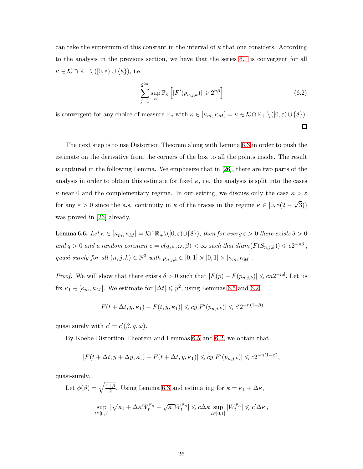can take the supremum of this constant in the interval of  $\kappa$  that one considers. According to the analysis in the previous section, we have that the series [6.1](#page-24-0) is convergent for all  $\kappa \in \mathcal{K} \cap \mathbb{R}_+ \setminus ([0,\varepsilon) \cup \{8\}),$  i.e.

$$
\sum_{j=1}^{2^{2n}} \sup_{\kappa} \mathbb{P}_{\kappa} \left[ |F'(p_{n,j,k})| \geqslant 2^{n\beta} \right] \tag{6.2}
$$

is convergent for any choice of measure  $\mathbb{P}_{\kappa}$  with  $\kappa \in [\kappa_m, \kappa_M] = \kappa \in \mathcal{K} \cap \mathbb{R}_+ \setminus ([0, \varepsilon) \cup \{8\}).$ 

 $\Box$ 

The next step is to use Distortion Theorem along with Lemma [6.3](#page-22-0) in order to push the estimate on the derivative from the corners of the box to all the points inside. The result is captured in the following Lemma. We emphasize that in [\[26\]](#page-29-0), there are two parts of the analysis in order to obtain this estimate for fixed  $\kappa$ , i.e. the analysis is split into the cases  $\kappa$  near 0 and the complementary regime. In our setting, we discuss only the case  $\kappa > \varepsilon$ for any  $\varepsilon > 0$  since the a.s. continuity in  $\kappa$  of the traces in the regime  $\kappa \in [0, 8(2-\sqrt{3}))$ was proved in [\[26\]](#page-29-0) already.

**Lemma 6.6.** Let  $\kappa \in [\kappa_m, \kappa_M] = \mathcal{K} \cap \mathbb{R}_+ \setminus ([0, \varepsilon) \cup \{8\})$ , then for every  $\varepsilon > 0$  there exists  $\delta > 0$ and  $q > 0$  and a random constant  $c = c(q, \varepsilon, \omega, \beta) < \infty$  such that  $diam(F(S_{n,j,k})) \leq c2^{-n\delta}$ , quasi-surely for all  $(n, j, k) \in \mathbb{N}^3$  with  $p_{n,j,k} \in [0, 1] \times [0, 1] \times [\kappa_m, \kappa_M]$ .

*Proof.* We will show that there exists  $\delta > 0$  such that  $|F(p) - F(p_{n,j,k})| \leqslant cn2^{-n\delta}$ . Let us fix  $\kappa_1 \in [\kappa_m, \kappa_M]$ . We estimate for  $|\Delta t| \leqslant y^2$ , using Lemmas [6.5](#page-24-1) and [6.2](#page-22-1)

$$
|F(t + \Delta t, y, \kappa_1) - F(t, y, \kappa_1)| \leq c y |F'(p_{n,j,k})| \leq c' 2^{-n(1-\beta)}
$$

quasi surely with  $c' = c'(\beta, q, \omega)$ .

By Koebe Distortion Theorem and Lemmas [6.5](#page-24-1) and [6.2,](#page-22-1) we obtain that

$$
|F(t + \Delta t, y + \Delta y, \kappa_1) - F(t + \Delta t, y, \kappa_1)| \leqslant c y |F'(p_{n,j,k})| \leqslant c 2^{-n(1-\beta)},
$$

quasi-surely.

Let 
$$
\phi(\beta) = \sqrt{\frac{1+\beta}{2}}
$$
. Using Lemma 6.3 and estimating for  $\kappa = \kappa_1 + \Delta \kappa$ ,  
\n
$$
\sup_{t \in [0,1]} |\sqrt{\kappa_1 + \Delta \kappa} W_t^{\mathbb{P}\kappa} - \sqrt{\kappa_1} W_t^{\mathbb{P}\kappa}| \leq c \Delta \kappa \sup_{t \in [0,1]} |W_t^{\mathbb{P}\kappa}| \leq c' \Delta \kappa,
$$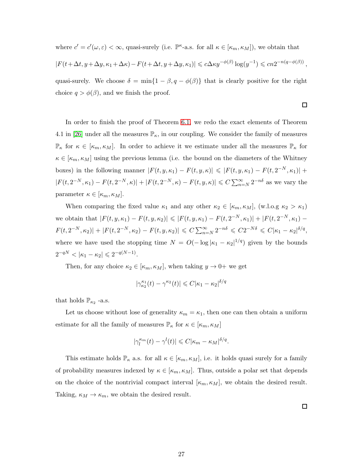where  $c' = c'(\omega, \varepsilon) < \infty$ , quasi-surely (i.e.  $\mathbb{P}^{\kappa}$ -a.s. for all  $\kappa \in [\kappa_m, \kappa_M]$ ), we obtain that

$$
|F(t+\Delta t, y+\Delta y, \kappa_1+\Delta \kappa) - F(t+\Delta t, y+\Delta y, \kappa_1)| \leq c \Delta \kappa y^{-\phi(\beta)} \log(y^{-1}) \leq c n 2^{-n(q-\phi(\beta))},
$$

quasi-surely. We choose  $\delta = \min\{1 - \beta, q - \phi(\beta)\}\$  that is clearly positive for the right choice  $q > \phi(\beta)$ , and we finish the proof.

 $\Box$ 

 $\Box$ 

In order to finish the proof of Theorem [6.1,](#page-21-0) we redo the exact elements of Theorem 4.1 in [\[26\]](#page-29-0) under all the measures  $\mathbb{P}_{\kappa}$ , in our coupling. We consider the family of measures  $\mathbb{P}_{\kappa}$  for  $\kappa \in [\kappa_m, \kappa_M]$ . In order to achieve it we estimate under all the measures  $\mathbb{P}_{\kappa}$  for  $\kappa \in [\kappa_m, \kappa_M]$  using the previous lemma (i.e. the bound on the diameters of the Whitney boxes) in the following manner  $|F(t, y, \kappa_1) - F(t, y, \kappa)| \leqslant |F(t, y, \kappa_1) - F(t, 2^{-N}, \kappa_1)| +$  $|F(t, 2^{-N}, \kappa_1) - F(t, 2^{-N}, \kappa)| + |F(t, 2^{-N}, \kappa) - F(t, y, \kappa)| \le C \sum_{n=N}^{\infty} 2^{-n\delta}$  as we vary the parameter  $\kappa \in [\kappa_m, \kappa_M].$ 

When comparing the fixed value  $\kappa_1$  and any other  $\kappa_2 \in [\kappa_m, \kappa_M]$ , (w.l.o.g  $\kappa_2 > \kappa_1$ ) we obtain that  $|F(t, y, \kappa_1) - F(t, y, \kappa_2)| \leqslant |F(t, y, \kappa_1) - F(t, 2^{-N}, \kappa_1)| + |F(t, 2^{-N}, \kappa_1) - F(t, 2^{-N}, \kappa_2)|$  $F(t, 2^{-N}, \kappa_2)| + |F(t, 2^{-N}, \kappa_2) - F(t, y, \kappa_2)| \leq C \sum_{n=N}^{\infty} 2^{-n\delta} \leq C2^{-N\delta} \leq C|\kappa_1 - \kappa_2|^{\delta/q},$ where we have used the stopping time  $N = O(-\log |\kappa_1 - \kappa_2|^{1/q})$  given by the bounds  $2^{-qN} < |\kappa_1 - \kappa_2| \leq 2^{-q(N-1)}.$ 

Then, for any choice  $\kappa_2 \in [\kappa_m, \kappa_M]$ , when taking  $y \to 0^+$  we get

$$
|\gamma_{\kappa_2}^{\kappa_1}(t) - \gamma^{\kappa_2}(t)| \leq C |\kappa_1 - \kappa_2|^{\delta/q}
$$

that holds  $\mathbb{P}_{\kappa_2}$  -a.s.

Let us choose without lose of generality  $\kappa_m = \kappa_1$ , then one can then obtain a uniform estimate for all the family of measures  $\mathbb{P}_{\kappa}$  for  $\kappa \in [\kappa_m, \kappa_M]$ 

$$
|\gamma_l^{\kappa_m}(t)-\gamma^l(t)|\leqslant C|\kappa_m-\kappa_M|^{\delta/q}.
$$

This estimate holds  $\mathbb{P}_{\kappa}$  a.s. for all  $\kappa \in [\kappa_m, \kappa_M]$ , i.e. it holds quasi surely for a family of probability measures indexed by  $\kappa \in [\kappa_m, \kappa_M]$ . Thus, outside a polar set that depends on the choice of the nontrivial compact interval  $[\kappa_m, \kappa_M]$ , we obtain the desired result. Taking,  $\kappa_M \to \kappa_m$ , we obtain the desired result.

27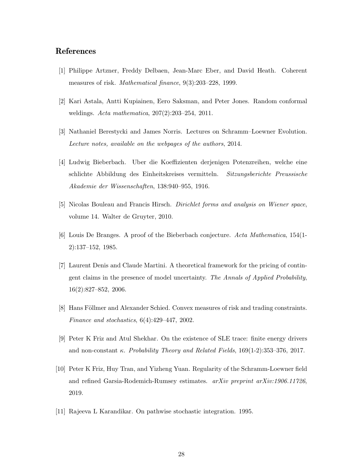### <span id="page-27-8"></span>References

- <span id="page-27-3"></span>[1] Philippe Artzner, Freddy Delbaen, Jean-Marc Eber, and David Heath. Coherent measures of risk. Mathematical finance, 9(3):203–228, 1999.
- <span id="page-27-5"></span>[2] Kari Astala, Antti Kupiainen, Eero Saksman, and Peter Jones. Random conformal weldings. Acta mathematica, 207(2):203–254, 2011.
- <span id="page-27-0"></span>[3] Nathaniel Berestycki and James Norris. Lectures on Schramm–Loewner Evolution. Lecture notes, available on the webpages of the authors, 2014.
- [4] Ludwig Bieberbach. Uber die Koeffizienten derjenigen Potenzreihen, welche eine schlichte Abbildung des Einheitskreises vermitteln. Sitzungsberichte Preussische Akademie der Wissenschaften, 138:940–955, 1916.
- <span id="page-27-10"></span><span id="page-27-1"></span>[5] Nicolas Bouleau and Francis Hirsch. Dirichlet forms and analysis on Wiener space, volume 14. Walter de Gruyter, 2010.
- <span id="page-27-6"></span>[6] Louis De Branges. A proof of the Bieberbach conjecture. Acta Mathematica, 154(1- 2):137–152, 1985.
- [7] Laurent Denis and Claude Martini. A theoretical framework for the pricing of contingent claims in the presence of model uncertainty. The Annals of Applied Probability, 16(2):827–852, 2006.
- <span id="page-27-9"></span><span id="page-27-2"></span>[8] Hans Föllmer and Alexander Schied. Convex measures of risk and trading constraints. Finance and stochastics, 6(4):429–447, 2002.
- <span id="page-27-4"></span>[9] Peter K Friz and Atul Shekhar. On the existence of SLE trace: finite energy drivers and non-constant  $\kappa$ . Probability Theory and Related Fields, 169(1-2):353–376, 2017.
- [10] Peter K Friz, Huy Tran, and Yizheng Yuan. Regularity of the Schramm-Loewner field and refined Garsia-Rodemich-Rumsey estimates.  $arXiv$  preprint  $arXiv:1906.11726$ , 2019.
- <span id="page-27-7"></span>[11] Rajeeva L Karandikar. On pathwise stochastic integration. 1995.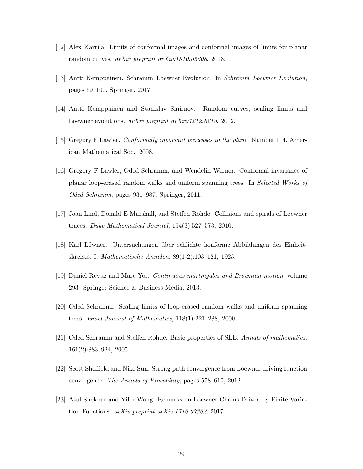- <span id="page-28-8"></span><span id="page-28-7"></span>[12] Alex Karrila. Limits of conformal images and conformal images of limits for planar random curves. arXiv preprint arXiv:1810.05608, 2018.
- <span id="page-28-6"></span>[13] Antti Kemppainen. Schramm–Loewner Evolution. In Schramm–Loewner Evolution, pages 69–100. Springer, 2017.
- <span id="page-28-2"></span>[14] Antti Kemppainen and Stanislav Smirnov. Random curves, scaling limits and Loewner evolutions. *arXiv preprint arXiv:1212.6215*, 2012.
- <span id="page-28-10"></span>[15] Gregory F Lawler. Conformally invariant processes in the plane. Number 114. American Mathematical Soc., 2008.
- [16] Gregory F Lawler, Oded Schramm, and Wendelin Werner. Conformal invariance of planar loop-erased random walks and uniform spanning trees. In Selected Works of Oded Schramm, pages 931–987. Springer, 2011.
- <span id="page-28-4"></span><span id="page-28-0"></span>[17] Joan Lind, Donald E Marshall, and Steffen Rohde. Collisions and spirals of Loewner traces. Duke Mathematical Journal, 154(3):527–573, 2010.
- <span id="page-28-11"></span>[18] Karl L¨owner. Untersuchungen ¨uber schlichte konforme Abbildungen des Einheitskreises. I. Mathematische Annalen, 89(1-2):103–121, 1923.
- <span id="page-28-1"></span>[19] Daniel Revuz and Marc Yor. Continuous martingales and Brownian motion, volume 293. Springer Science & Business Media, 2013.
- <span id="page-28-9"></span>[20] Oded Schramm. Scaling limits of loop-erased random walks and uniform spanning trees. Israel Journal of Mathematics, 118(1):221–288, 2000.
- <span id="page-28-5"></span>[21] Oded Schramm and Steffen Rohde. Basic properties of SLE. Annals of mathematics, 161(2):883–924, 2005.
- <span id="page-28-3"></span>[22] Scott Sheffield and Nike Sun. Strong path convergence from Loewner driving function convergence. The Annals of Probability, pages 578–610, 2012.
- [23] Atul Shekhar and Yilin Wang. Remarks on Loewner Chains Driven by Finite Variation Functions. arXiv preprint arXiv:1710.07302, 2017.